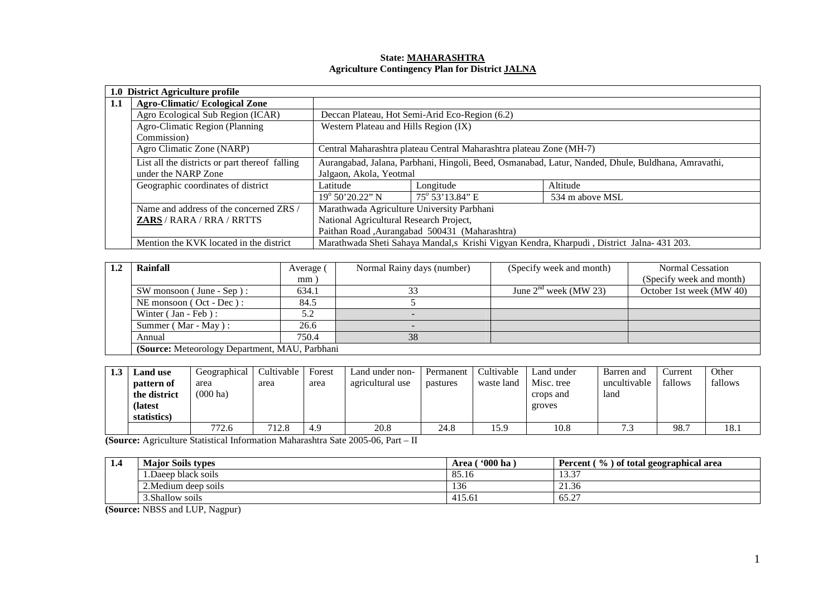# **State: MAHARASHTRA Agriculture Contingency Plan for District JALNA**

|     | 1.0 District Agriculture profile               |                                                                                                    |                                                |                                                                                            |  |  |  |  |
|-----|------------------------------------------------|----------------------------------------------------------------------------------------------------|------------------------------------------------|--------------------------------------------------------------------------------------------|--|--|--|--|
| 1.1 | <b>Agro-Climatic/Ecological Zone</b>           |                                                                                                    |                                                |                                                                                            |  |  |  |  |
|     | Agro Ecological Sub Region (ICAR)              |                                                                                                    | Deccan Plateau, Hot Semi-Arid Eco-Region (6.2) |                                                                                            |  |  |  |  |
|     | Agro-Climatic Region (Planning                 | Western Plateau and Hills Region (IX)                                                              |                                                |                                                                                            |  |  |  |  |
|     | Commission)                                    |                                                                                                    |                                                |                                                                                            |  |  |  |  |
|     | Agro Climatic Zone (NARP)                      | Central Maharashtra plateau Central Maharashtra plateau Zone (MH-7)                                |                                                |                                                                                            |  |  |  |  |
|     | List all the districts or part thereof falling | Aurangabad, Jalana, Parbhani, Hingoli, Beed, Osmanabad, Latur, Nanded, Dhule, Buldhana, Amravathi, |                                                |                                                                                            |  |  |  |  |
|     | under the NARP Zone                            | Jalgaon, Akola, Yeotmal                                                                            |                                                |                                                                                            |  |  |  |  |
|     | Geographic coordinates of district             | Latitude                                                                                           | Longitude                                      | Altitude                                                                                   |  |  |  |  |
|     |                                                | $19^{\circ}$ 50' 20.22" N                                                                          | 75° 53'13.84" E                                | 534 m above MSL                                                                            |  |  |  |  |
|     | Name and address of the concerned ZRS /        | Marathwada Agriculture University Parbhani                                                         |                                                |                                                                                            |  |  |  |  |
|     | <b>ZARS</b> / RARA / RRA / RRTTS               | National Agricultural Research Project,                                                            |                                                |                                                                                            |  |  |  |  |
|     |                                                |                                                                                                    | Paithan Road, Aurangabad 500431 (Maharashtra)  |                                                                                            |  |  |  |  |
|     | Mention the KVK located in the district        |                                                                                                    |                                                | Marathwada Sheti Sahaya Mandal, s Krishi Vigyan Kendra, Kharpudi, District Jalna- 431 203. |  |  |  |  |

| Rainfall                                       | Average ( | Normal Rainy days (number) | (Specify week and month) | Normal Cessation         |
|------------------------------------------------|-----------|----------------------------|--------------------------|--------------------------|
|                                                | mm        |                            |                          | (Specify week and month) |
| $SW$ monsoon (June - Sep):                     | 634.1     |                            | June $2nd$ week (MW 23)  | October 1st week (MW 40) |
| NE monsoon $($ Oct - Dec $)$ :                 | 84.5      |                            |                          |                          |
| Winter (Jan - Feb):                            | 5.2       |                            |                          |                          |
| Summer (Mar - May):                            | 26.6      |                            |                          |                          |
| Annual                                         | 750.4     | 38                         |                          |                          |
| (Source: Meteorology Department, MAU, Parbhani |           |                            |                          |                          |

| 1.3 | <b>Land</b> use | Geographical       | Cultivable | Forest | Land under non-  | Permanent | Cultivable | Land under | Barren and   | Current | Other   |
|-----|-----------------|--------------------|------------|--------|------------------|-----------|------------|------------|--------------|---------|---------|
|     | pattern of      | area               | area       | area   | agricultural use | pastures  | waste land | Misc. tree | uncultivable | fallows | fallows |
|     | the district    | $(000 \text{ ha})$ |            |        |                  |           |            | crops and  | land         |         |         |
|     | (latest)        |                    |            |        |                  |           |            | groves     |              |         |         |
|     | statistics)     |                    |            |        |                  |           |            |            |              |         |         |
|     |                 | 772.6              | 712.8      | 4.9    | 20.8             | 24.8      | 15.9       | 10.8       | $\sim$       | 98.7    | 18.1    |

**(Source:** Agriculture Statistical Information Maharashtra Sate 2005-06, Part – II

| 1.4 | <b>Major Soils types</b> | $^{\circ}000$ ha<br>Area | $\frac{1}{2}$<br>) of total geographical area<br>Percent |
|-----|--------------------------|--------------------------|----------------------------------------------------------|
|     | 1.Daeep black soils      | 85.16                    | 12.27<br>13.3                                            |
|     | 2. Medium deep soils     | 136                      | 21.36                                                    |
|     | 3. Shallow soils         | 415.61                   | 65.27                                                    |

**(Source:** NBSS and LUP, Nagpur)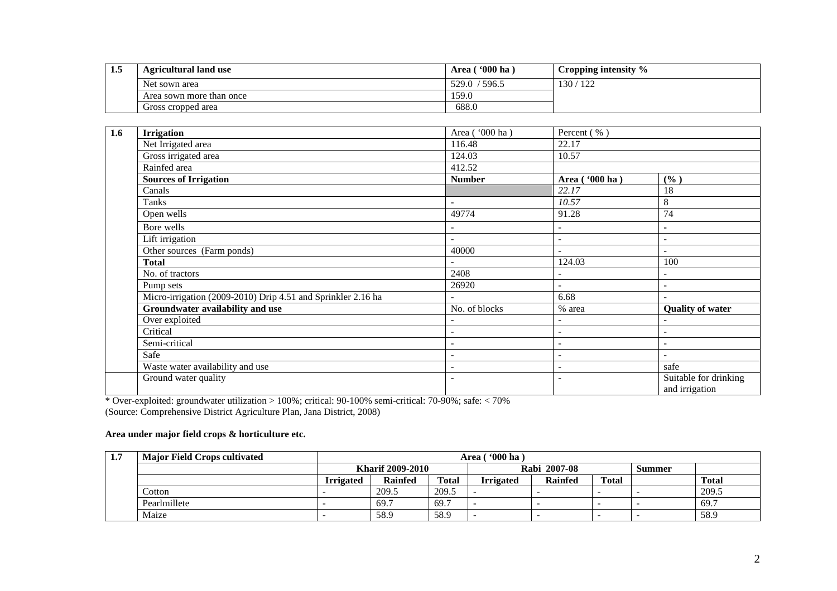| 1.5 | <b>Agricultural land use</b> | $^{\circ}000$ ha<br>Area | Cropping intensity $\%$ |
|-----|------------------------------|--------------------------|-------------------------|
|     | Net sown area                | 529.0<br>596.5           | 130/1<br>122            |
|     | Area sown more than once     | 159.0                    |                         |
|     | Gross cropped area           | 688.0                    |                         |

| 1.6 | <b>Irrigation</b>                                            | Area ('000 ha)           | Percent (%)              |                                         |
|-----|--------------------------------------------------------------|--------------------------|--------------------------|-----------------------------------------|
|     | Net Irrigated area                                           | 116.48                   | 22.17                    |                                         |
|     | Gross irrigated area                                         | 124.03                   | 10.57                    |                                         |
|     | Rainfed area                                                 | 412.52                   |                          |                                         |
|     | <b>Sources of Irrigation</b>                                 | <b>Number</b>            | Area ('000 ha)           | (%)                                     |
|     | Canals                                                       |                          | 22.17                    | 18                                      |
|     | Tanks                                                        |                          | 10.57                    | 8                                       |
|     | Open wells                                                   | 49774                    | 91.28                    | 74                                      |
|     | Bore wells                                                   |                          | $\sim$                   | $\overline{\phantom{0}}$                |
|     | Lift irrigation                                              | $\overline{\phantom{a}}$ |                          |                                         |
|     | Other sources (Farm ponds)                                   | 40000                    |                          |                                         |
|     | <b>Total</b>                                                 | $\overline{\phantom{a}}$ | 124.03                   | 100                                     |
|     | No. of tractors                                              | 2408                     |                          |                                         |
|     | Pump sets                                                    | 26920                    | $\sim$                   | $\overline{\phantom{0}}$                |
|     | Micro-irrigation (2009-2010) Drip 4.51 and Sprinkler 2.16 ha |                          | 6.68                     |                                         |
|     | Groundwater availability and use                             | No. of blocks            | % area                   | <b>Quality of water</b>                 |
|     | Over exploited                                               | $\blacksquare$           | $\overline{\phantom{a}}$ | $\overline{\phantom{0}}$                |
|     | Critical                                                     | $\overline{\phantom{a}}$ | $\sim$                   | ۰                                       |
|     | Semi-critical                                                | $\overline{\phantom{a}}$ | $\overline{\phantom{a}}$ | $\overline{\phantom{0}}$                |
|     | Safe                                                         | $\overline{\phantom{a}}$ | $\overline{\phantom{a}}$ | $\overline{\phantom{0}}$                |
|     | Waste water availability and use                             | $\overline{\phantom{a}}$ | $\sim$                   | safe                                    |
|     | Ground water quality                                         | $\overline{\phantom{a}}$ |                          | Suitable for drinking<br>and irrigation |

\* Over-exploited: groundwater utilization > 100%; critical: 90-100% semi-critical: 70-90%; safe: < 70%(Source: Comprehensive District Agriculture Plan, Jana District, 2008)

## **Area under major field crops & horticulture etc.**

| 1.7 | <b>Major Field Crops cultivated</b> |                  | $\lceil$ '000 ha<br>Area ( |              |                  |         |              |        |              |
|-----|-------------------------------------|------------------|----------------------------|--------------|------------------|---------|--------------|--------|--------------|
|     |                                     |                  | <b>Kharif 2009-2010</b>    |              | Rabi 2007-08     |         |              | Summer |              |
|     |                                     | <b>Irrigated</b> | <b>Rainfed</b>             | <b>Total</b> | <b>Irrigated</b> | Rainfed | <b>Total</b> |        | <b>Total</b> |
|     | Cotton                              |                  | 209.5                      | 209.5        |                  |         |              | -      | 209.5        |
|     | Pearlmillete                        |                  | 69.7                       | 69.7         |                  |         |              | -      | 69.7         |
|     | Maize                               |                  | 58.9                       | 58.9         |                  |         |              | -      | 58.9         |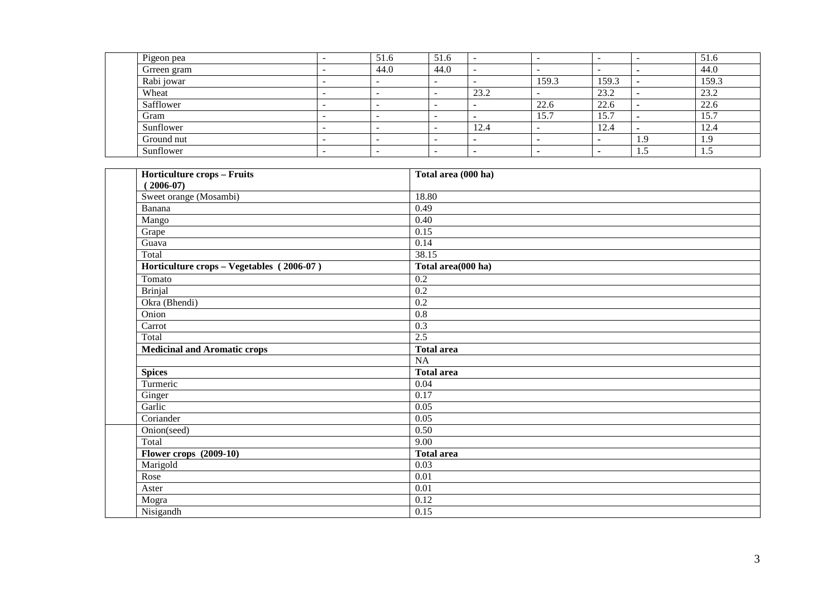| Pigeon pea  |                          | 51.6   | 51.6                     |      |       |              |      | 51.6  |
|-------------|--------------------------|--------|--------------------------|------|-------|--------------|------|-------|
| Grreen gram |                          | 44.0   | 44.0                     |      |       |              |      | 44.0  |
| Rabi jowar  |                          |        | $\overline{\phantom{a}}$ |      | 159.3 | 159.3        |      | 159.3 |
| Wheat       | -                        | -      |                          | 23.2 |       | 23.2         |      | 23.2  |
| Safflower   | -                        | -      | -                        |      | 22.6  | 22.6         |      | 22.6  |
| Gram        | -                        | -      | $\overline{\phantom{a}}$ |      | 15.7  | 15.7         |      | 15.7  |
| Sunflower   | -                        | . .    | -                        | 12.4 |       | . הו<br>12.4 |      | 12.4  |
| Ground nut  | $\overline{\phantom{a}}$ | $\sim$ |                          |      |       |              | -1.5 | 1.9   |
| Sunflower   | -                        | -      | -                        |      |       |              | 1.J  | 1.5   |

| <b>Horticulture crops - Fruits</b>        | Total area (000 ha) |
|-------------------------------------------|---------------------|
| $(2006-07)$                               |                     |
| Sweet orange (Mosambi)                    | 18.80               |
| Banana                                    | 0.49                |
| Mango                                     | 0.40                |
| Grape                                     | 0.15                |
| Guava                                     | 0.14                |
| Total                                     | 38.15               |
| Horticulture crops - Vegetables (2006-07) | Total area(000 ha)  |
| Tomato                                    | $\overline{0.2}$    |
| <b>Brinjal</b>                            | 0.2                 |
| Okra (Bhendi)                             | 0.2                 |
| Onion                                     | $\overline{0.8}$    |
| Carrot                                    | 0.3                 |
| Total                                     | 2.5                 |
| <b>Medicinal and Aromatic crops</b>       | Total area          |
|                                           | <b>NA</b>           |
| <b>Spices</b>                             | <b>Total area</b>   |
| Turmeric                                  | 0.04                |
| Ginger                                    | 0.17                |
| Garlic                                    | 0.05                |
| Coriander                                 | 0.05                |
| Onion(seed)                               | 0.50                |
| Total                                     | 9.00                |
| <b>Flower crops</b> (2009-10)             | <b>Total area</b>   |
| Marigold                                  | 0.03                |
| Rose                                      | 0.01                |
| Aster                                     | 0.01                |
| Mogra                                     | 0.12                |
| Nisigandh                                 | 0.15                |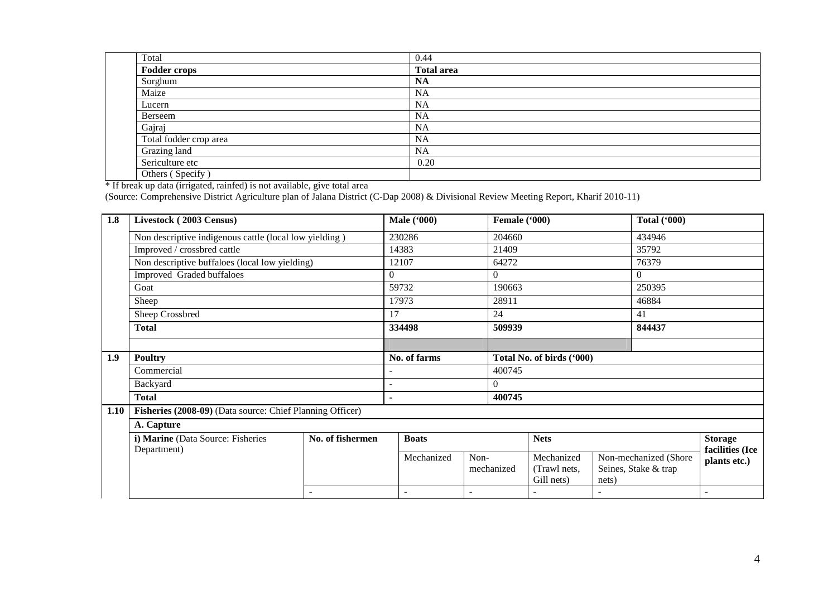| Total                  | 0.44              |
|------------------------|-------------------|
| <b>Fodder crops</b>    | <b>Total area</b> |
| Sorghum                | <b>NA</b>         |
| Maize                  | <b>NA</b>         |
| Lucern                 | NA                |
| Berseem                | <b>NA</b>         |
| Gajraj                 | NA                |
| Total fodder crop area | <b>NA</b>         |
| Grazing land           | <b>NA</b>         |
| Sericulture etc        | 0.20              |
| Others (Specify)       |                   |

10thers (Specify)<br>
\* If break up data (irrigated, rainfed) is not available, give total area<br>
(Source: Comprehensive District Agriculture plan of Jalana District (C-Dap 2008) & Divisional Review Meeting Report, Kharif 2010

| 1.8  | Livestock (2003 Census)                                   |                          |                | <b>Male ('000)</b>       |                | Female ('000) |                           |       | <b>Total ('000)</b>                            |                 |
|------|-----------------------------------------------------------|--------------------------|----------------|--------------------------|----------------|---------------|---------------------------|-------|------------------------------------------------|-----------------|
|      | Non descriptive indigenous cattle (local low yielding)    |                          |                | 230286                   |                | 204660        |                           |       | 434946                                         |                 |
|      | Improved / crossbred cattle                               |                          |                | 14383                    | 21409          |               |                           | 35792 |                                                |                 |
|      | Non descriptive buffaloes (local low yielding)            |                          |                | 12107                    |                | 64272         |                           |       | 76379                                          |                 |
|      | Improved Graded buffaloes                                 |                          | $\Omega$       |                          |                | $\theta$      |                           |       | $\overline{0}$                                 |                 |
|      | Goat                                                      |                          |                | 59732                    |                | 190663        |                           |       | 250395                                         |                 |
|      | Sheep                                                     |                          |                | 17973                    |                | 28911         |                           |       | 46884                                          |                 |
|      | Sheep Crossbred                                           |                          | 17             |                          |                | 24            |                           |       | 41                                             |                 |
|      | <b>Total</b>                                              |                          |                | 334498                   |                | 509939        |                           |       | 844437                                         |                 |
|      |                                                           |                          |                |                          |                |               |                           |       |                                                |                 |
| 1.9  | <b>Poultry</b>                                            |                          |                | No. of farms             |                |               | Total No. of birds ('000) |       |                                                |                 |
|      | Commercial                                                |                          |                |                          |                | 400745        |                           |       |                                                |                 |
|      | Backyard                                                  |                          |                |                          |                | $\theta$      |                           |       |                                                |                 |
|      | <b>Total</b>                                              |                          | $\blacksquare$ |                          |                | 400745        |                           |       |                                                |                 |
| 1.10 | Fisheries (2008-09) (Data source: Chief Planning Officer) |                          |                |                          |                |               |                           |       |                                                |                 |
|      | A. Capture                                                |                          |                |                          |                |               |                           |       |                                                |                 |
|      | i) Marine (Data Source: Fisheries                         | No. of fishermen         |                | <b>Boats</b>             |                |               | <b>Nets</b>               |       |                                                | <b>Storage</b>  |
|      | Department)                                               |                          |                | Mechanized               | Non-           |               | Mechanized                |       |                                                | facilities (Ice |
|      |                                                           |                          |                |                          |                | mechanized    | (Trawl nets,              |       | Non-mechanized (Shore)<br>Seines, Stake & trap | plants etc.)    |
|      |                                                           |                          |                |                          |                |               | Gill nets)                | nets) |                                                |                 |
|      |                                                           | $\overline{\phantom{0}}$ |                | $\overline{\phantom{0}}$ | $\blacksquare$ |               |                           |       |                                                |                 |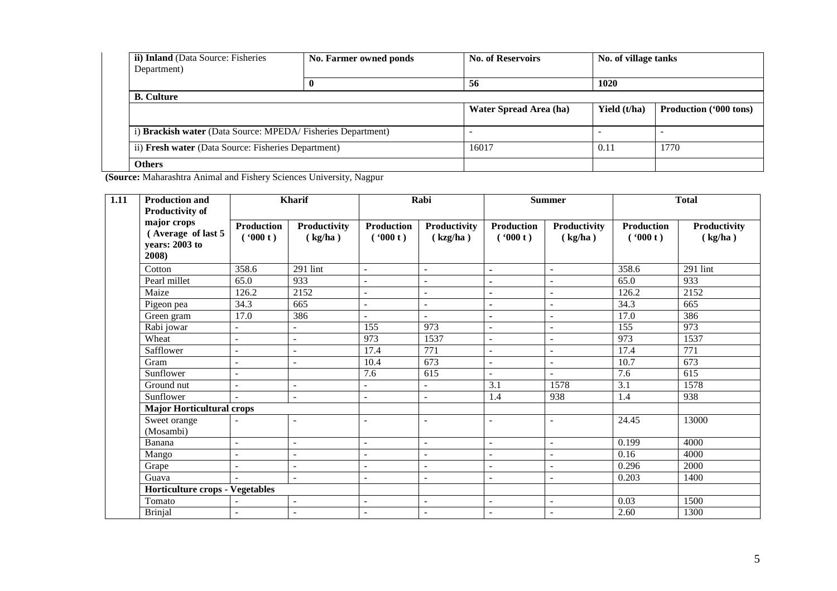| <b>ii) Inland</b> (Data Source: Fisheries<br>Department)    | No. Farmer owned ponds | <b>No. of Reservoirs</b> | No. of village tanks |                               |
|-------------------------------------------------------------|------------------------|--------------------------|----------------------|-------------------------------|
|                                                             |                        | 56                       | 1020                 |                               |
| <b>B.</b> Culture                                           |                        |                          |                      |                               |
|                                                             |                        | Water Spread Area (ha)   | Yield (t/ha)         | <b>Production ('000 tons)</b> |
| i) Brackish water (Data Source: MPEDA/Fisheries Department) |                        |                          |                      |                               |
| ii) Fresh water (Data Source: Fisheries Department)         |                        | 16017                    | 0.11                 | 1770                          |
| <b>Others</b>                                               |                        |                          |                      |                               |

**(Source:** Maharashtra Animal and Fishery Sciences University, Nagpur

| $\overline{1.11}$ | <b>Production and</b><br><b>Productivity of</b>              |                              | <b>Kharif</b>            |                              | Rabi                     |                              | $\begin{minipage}{.4\linewidth} \textbf{Summer} \end{minipage} \vspace{-0.3em}$ |                              | <b>Total</b>            |
|-------------------|--------------------------------------------------------------|------------------------------|--------------------------|------------------------------|--------------------------|------------------------------|---------------------------------------------------------------------------------|------------------------------|-------------------------|
|                   | major crops<br>(Average of last 5<br>years: 2003 to<br>2008) | <b>Production</b><br>(900 t) | Productivity<br>(kg/ha)  | <b>Production</b><br>(900 t) | Productivity<br>(kzg/ha) | <b>Production</b><br>(900 t) | Productivity<br>(kg/ha)                                                         | <b>Production</b><br>(900 t) | Productivity<br>(kg/ha) |
|                   | Cotton                                                       | 358.6                        | 291 lint                 | $\sim$                       | $\overline{\phantom{a}}$ | $\blacksquare$               | $\overline{\phantom{a}}$                                                        | 358.6                        | $291$ lint              |
|                   | Pearl millet                                                 | 65.0                         | 933                      | $\blacksquare$               | $\overline{\phantom{a}}$ | $\blacksquare$               | $\overline{\phantom{a}}$                                                        | 65.0                         | 933                     |
|                   | Maize                                                        | 126.2                        | 2152                     | $\blacksquare$               | $\overline{\phantom{a}}$ |                              |                                                                                 | 126.2                        | 2152                    |
|                   | Pigeon pea                                                   | 34.3                         | 665                      | $\blacksquare$               | $\overline{\phantom{a}}$ | $\blacksquare$               | $\overline{\phantom{a}}$                                                        | 34.3                         | 665                     |
|                   | Green gram                                                   | 17.0                         | 386                      | $\blacksquare$               | $\overline{a}$           | $\blacksquare$               | $\blacksquare$                                                                  | 17.0                         | 386                     |
|                   | Rabi jowar                                                   | $\overline{\phantom{0}}$     |                          | 155                          | 973                      | $\overline{\phantom{a}}$     |                                                                                 | 155                          | 973                     |
|                   | Wheat                                                        | $\overline{\phantom{a}}$     | $\sim$                   | 973                          | 1537                     | $\overline{\phantom{0}}$     | $\overline{\phantom{a}}$                                                        | 973                          | 1537                    |
|                   | Safflower                                                    | $\blacksquare$               | $\blacksquare$           | 17.4                         | 771                      | $\overline{\phantom{a}}$     | $\overline{\phantom{a}}$                                                        | 17.4                         | 771                     |
|                   | Gram                                                         | $\overline{a}$               | $\sim$                   | 10.4                         | 673                      | $\overline{a}$               | $\overline{\phantom{a}}$                                                        | 10.7                         | 673                     |
|                   | Sunflower                                                    | $\overline{\phantom{a}}$     |                          | 7.6                          | 615                      | $\sim$                       | $\sim$                                                                          | 7.6                          | 615                     |
|                   | Ground nut                                                   | $\sim$                       | $\sim$                   | $\blacksquare$               | $\blacksquare$           | 3.1                          | 1578                                                                            | $\overline{3.1}$             | 1578                    |
|                   | Sunflower                                                    |                              | $\sim$                   | $\sim$                       | $\overline{\phantom{a}}$ | 1.4                          | 938                                                                             | 1.4                          | 938                     |
|                   | <b>Major Horticultural crops</b>                             |                              |                          |                              |                          |                              |                                                                                 |                              |                         |
|                   | Sweet orange<br>(Mosambi)                                    |                              | $\sim$                   | $\overline{\phantom{a}}$     | ÷                        | $\sim$                       | $\sim$                                                                          | 24.45                        | 13000                   |
|                   | Banana                                                       | $\overline{a}$               | $\sim$                   | $\overline{\phantom{a}}$     | $\overline{a}$           | $\overline{a}$               | $\overline{\phantom{a}}$                                                        | 0.199                        | 4000                    |
|                   | Mango                                                        | $\overline{\phantom{a}}$     | $\overline{\phantom{a}}$ | $\blacksquare$               | $\overline{\phantom{0}}$ | $\overline{\phantom{0}}$     | $\overline{\phantom{a}}$                                                        | 0.16                         | 4000                    |
|                   | Grape                                                        | $\overline{\phantom{a}}$     | $\overline{\phantom{a}}$ | $\overline{\phantom{a}}$     | $\blacksquare$           | $\overline{\phantom{a}}$     | $\overline{\phantom{0}}$                                                        | 0.296                        | 2000                    |
|                   | Guava                                                        |                              | $\mathbf{r}$             | $\sim$                       | $\overline{a}$           | $\overline{a}$               | $\sim$                                                                          | 0.203                        | 1400                    |
|                   | <b>Horticulture crops - Vegetables</b>                       |                              |                          |                              |                          |                              |                                                                                 |                              |                         |
|                   | Tomato                                                       |                              | $\sim$                   | $\sim$                       | $\blacksquare$           | $\overline{\phantom{a}}$     | $\overline{\phantom{a}}$                                                        | 0.03                         | 1500                    |
|                   | <b>Brinjal</b>                                               |                              | $\sim$                   | $\overline{\phantom{a}}$     | $\overline{\phantom{a}}$ |                              |                                                                                 | 2.60                         | 1300                    |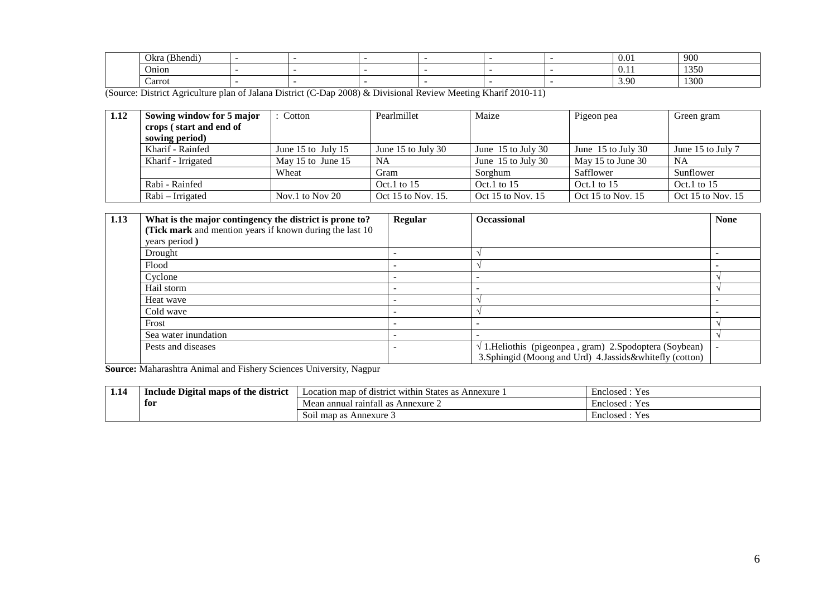| $\rightarrow$ $\rightarrow$ $\rightarrow$<br>Okra<br>$\overline{\phantom{a}}$<br>Bhendi) |  |  |  | 0.01                          | 900  |
|------------------------------------------------------------------------------------------|--|--|--|-------------------------------|------|
| O <sub>n10D</sub>                                                                        |  |  |  | $\mathbf{v} \cdot \mathbf{r}$ | 1350 |
| Carrot                                                                                   |  |  |  | $\sim$<br>J. JU               | 1300 |

(Source: District Agriculture plan of Jalana District (C-Dap 2008) & Divisional Review Meeting Kharif 2010-11)

| 1.12 | Sowing window for 5 major | Cotton              | Pearlmillet        | Maize                | Pigeon pea           | Green gram        |
|------|---------------------------|---------------------|--------------------|----------------------|----------------------|-------------------|
|      | crops (start and end of   |                     |                    |                      |                      |                   |
|      | sowing period)            |                     |                    |                      |                      |                   |
|      | Kharif - Rainfed          | June 15 to July 15  | June 15 to July 30 | June $15$ to July 30 | June $15$ to July 30 | June 15 to July 7 |
|      | Kharif - Irrigated        | May 15 to June $15$ | <b>NA</b>          | June $15$ to July 30 | May 15 to June 30    | <b>NA</b>         |
|      |                           | Wheat               | Gram               | Sorghum              | Safflower            | Sunflower         |
|      | Rabi - Rainfed            |                     | $Oct.1$ to 15      | Oct.1 to $15$        | Oct.1 to $15$        | Oct.1 to $15$     |
|      | Rabi – Irrigated          | Nov.1 to Nov 20     | Oct 15 to Nov. 15. | Oct 15 to Nov. 15    | Oct 15 to Nov. 15    | Oct 15 to Nov. 15 |

| 1.13 | What is the major contingency the district is prone to?   | Regular | <b>Occassional</b>                                               | <b>None</b> |
|------|-----------------------------------------------------------|---------|------------------------------------------------------------------|-------------|
|      | (Tick mark and mention years if known during the last 10) |         |                                                                  |             |
|      | years period)                                             |         |                                                                  |             |
|      | Drought                                                   |         |                                                                  |             |
|      | Flood                                                     |         |                                                                  |             |
|      | Cyclone                                                   |         |                                                                  |             |
|      | Hail storm                                                |         |                                                                  |             |
|      | Heat wave                                                 |         |                                                                  |             |
|      | Cold wave                                                 |         |                                                                  |             |
|      | Frost                                                     |         |                                                                  |             |
|      | Sea water inundation                                      |         |                                                                  |             |
|      | Pests and diseases                                        |         | $\sqrt{1}$ . Heliothis (pigeonpea, gram) 2. Spodoptera (Soybean) |             |
|      |                                                           |         | 3. Sphingid (Moong and Urd) 4. Jassids&whitefly (cotton)         |             |

**Source:** Maharashtra Animal and Fishery Sciences University, Nagpur

| 1.14 | : district<br><b>Include Digital maps of</b><br>: the | t district within States as .<br>Annexure<br>ocation map of | Yes.<br>Enclosed |
|------|-------------------------------------------------------|-------------------------------------------------------------|------------------|
|      | for                                                   | - -<br>n annual raintall as .<br>Annexure $\angle$<br>Mean  | Enclosed<br>Y es |
|      |                                                       | $\sim$<br>Annexure 3<br>map as<br>S011                      | Enclosed<br>Y es |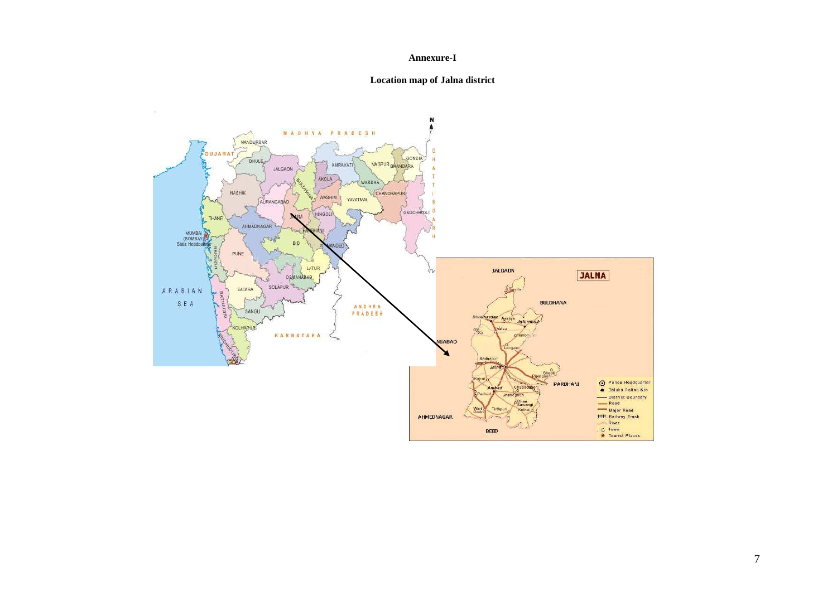#### **Annexure-I**

## **Location map of Jalna district**

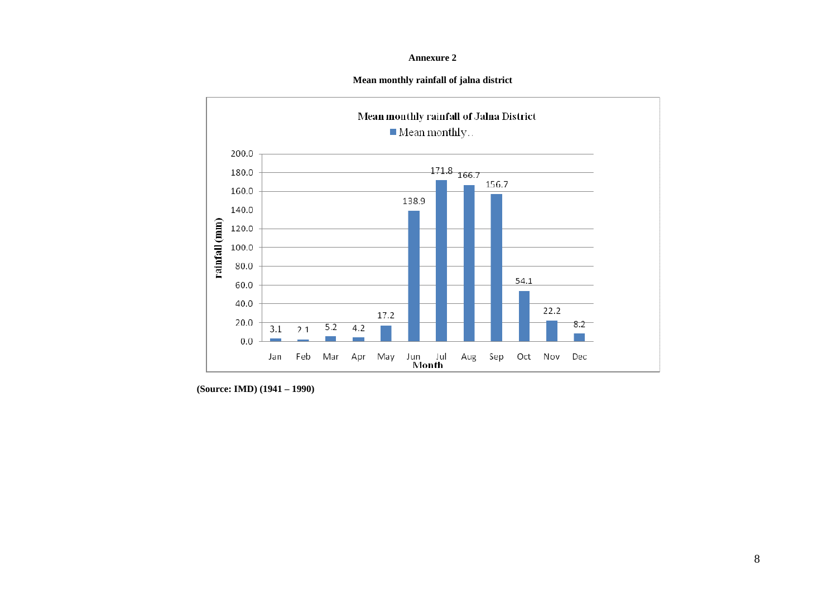### **Annexure 2**

## **Mean monthly rainfall of jalna district**



 **(Source: IMD) (1941 – 1990)**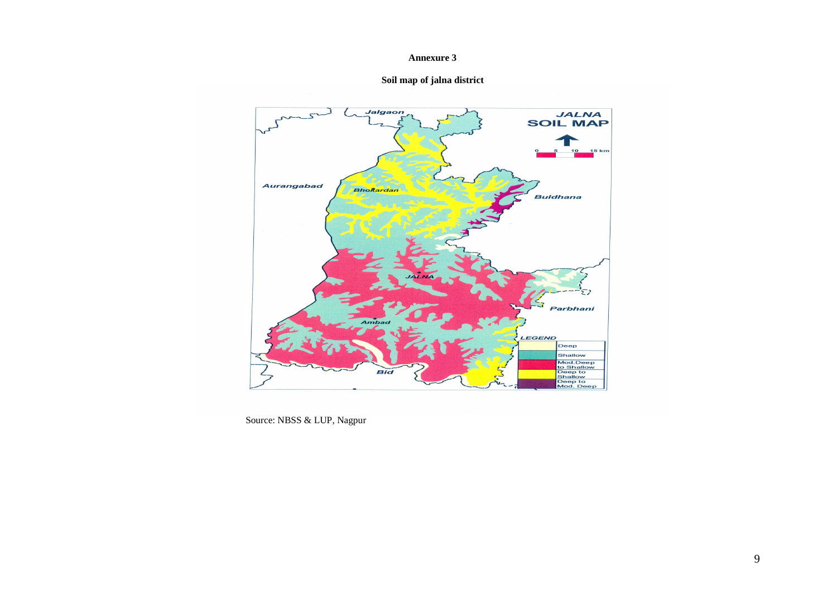### **Annexure 3**





Source: NBSS & LUP, Nagpur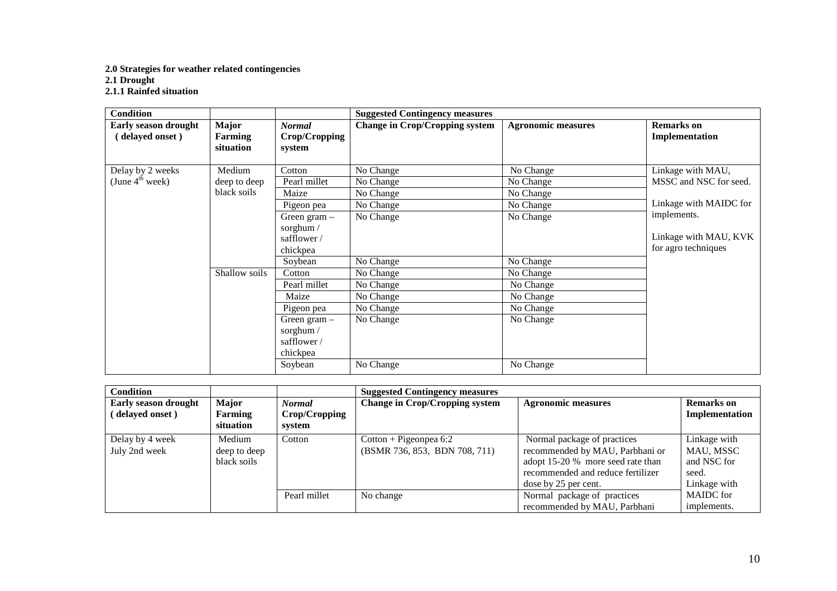# **2.0 Strategies for weather related contingencies 2.1 Drought 2.1.1 Rainfed situation**

| <b>Condition</b>            |               |                | <b>Suggested Contingency measures</b> |                           |                        |
|-----------------------------|---------------|----------------|---------------------------------------|---------------------------|------------------------|
| <b>Early season drought</b> | Major         | <b>Normal</b>  | <b>Change in Crop/Cropping system</b> | <b>Agronomic measures</b> | <b>Remarks</b> on      |
| (delayed onset)             | Farming       | Crop/Cropping  |                                       |                           | Implementation         |
|                             | situation     | system         |                                       |                           |                        |
|                             |               |                |                                       |                           |                        |
| Delay by 2 weeks            | Medium        | Cotton         | No Change                             | No Change                 | Linkage with MAU,      |
| (June $4^{\text{th}}$ week) | deep to deep  | Pearl millet   | No Change                             | No Change                 | MSSC and NSC for seed. |
|                             | black soils   | Maize          | No Change                             | No Change                 |                        |
|                             |               | Pigeon pea     | No Change                             | No Change                 | Linkage with MAIDC for |
|                             |               | Green gram $-$ | No Change                             | No Change                 | implements.            |
|                             |               | sorghum /      |                                       |                           |                        |
|                             |               | safflower/     |                                       |                           | Linkage with MAU, KVK  |
|                             |               | chickpea       |                                       |                           | for agro techniques    |
|                             |               | Soybean        | No Change                             | No Change                 |                        |
|                             | Shallow soils | Cotton         | No Change                             | No Change                 |                        |
|                             |               | Pearl millet   | No Change                             | No Change                 |                        |
|                             |               | Maize          | No Change                             | No Change                 |                        |
|                             |               | Pigeon pea     | No Change                             | No Change                 |                        |
|                             |               | Green gram $-$ | No Change                             | No Change                 |                        |
|                             |               | sorghum /      |                                       |                           |                        |
|                             |               | safflower/     |                                       |                           |                        |
|                             |               | chickpea       |                                       |                           |                        |
|                             |               | Soybean        | No Change                             | No Change                 |                        |

| <b>Condition</b>                        |                                             |                                          | <b>Suggested Contingency measures</b>                     |                                                                                                                                                                  |                                                                   |
|-----------------------------------------|---------------------------------------------|------------------------------------------|-----------------------------------------------------------|------------------------------------------------------------------------------------------------------------------------------------------------------------------|-------------------------------------------------------------------|
| Early season drought<br>(delayed onset) | <b>Major</b><br><b>Farming</b><br>situation | <b>Normal</b><br>Crop/Cropping<br>system | <b>Change in Crop/Cropping system</b>                     | <b>Agronomic measures</b>                                                                                                                                        | <b>Remarks</b> on<br>Implementation                               |
| Delay by 4 week<br>July 2nd week        | Medium<br>deep to deep<br>black soils       | Cotton                                   | $Cottom + Pigeonpea 6:2$<br>(BSMR 736, 853, BDN 708, 711) | Normal package of practices<br>recommended by MAU, Parbhani or<br>adopt 15-20 % more seed rate than<br>recommended and reduce fertilizer<br>dose by 25 per cent. | Linkage with<br>MAU, MSSC<br>and NSC for<br>seed.<br>Linkage with |
|                                         |                                             | Pearl millet                             | No change                                                 | Normal package of practices<br>recommended by MAU, Parbhani                                                                                                      | <b>MAIDC</b> for<br>implements.                                   |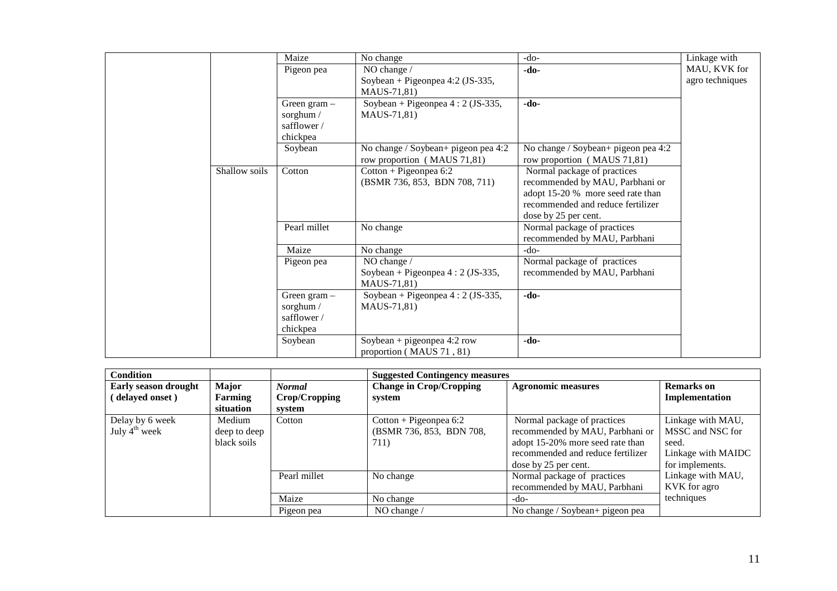|               | Maize                                                 | No change                                                                                  | $-do-$                                                                                                                                                           | Linkage with                    |
|---------------|-------------------------------------------------------|--------------------------------------------------------------------------------------------|------------------------------------------------------------------------------------------------------------------------------------------------------------------|---------------------------------|
|               | Pigeon pea                                            | NO change /<br>Soybean + Pigeonpea 4:2 (JS-335,<br>MAUS-71,81)                             | -do-                                                                                                                                                             | MAU, KVK for<br>agro techniques |
|               | Green gram $-$<br>sorghum /<br>safflower/<br>chickpea | Soybean + Pigeonpea $4:2$ (JS-335,<br>MAUS-71,81)                                          | -do-                                                                                                                                                             |                                 |
|               | Soybean                                               | No change / Soybean+ pigeon pea 4:2<br>row proportion (MAUS 71,81)                         | No change / Soybean+ pigeon pea 4:2<br>row proportion (MAUS 71,81)                                                                                               |                                 |
| Shallow soils | Cotton                                                | $Cottom + Pigeonpea 6:2$<br>(BSMR 736, 853, BDN 708, 711)                                  | Normal package of practices<br>recommended by MAU, Parbhani or<br>adopt 15-20 % more seed rate than<br>recommended and reduce fertilizer<br>dose by 25 per cent. |                                 |
|               | Pearl millet                                          | No change                                                                                  | Normal package of practices<br>recommended by MAU, Parbhani                                                                                                      |                                 |
|               | Maize                                                 | No change                                                                                  | $-do-$                                                                                                                                                           |                                 |
|               | Pigeon pea                                            | NO change /<br>Soybean + Pigeonpea 4 : 2 (JS-335,<br>MAUS-71,81)                           | Normal package of practices<br>recommended by MAU, Parbhani                                                                                                      |                                 |
|               | Green gram -<br>sorghum /<br>safflower /<br>chickpea  | Soybean + Pigeonpea $4:2$ (JS-335,<br>MAUS-71,81)                                          | -do-                                                                                                                                                             |                                 |
|               | Soybean                                               | $\overline{\text{Soybean}} + \text{pigeonpea} 4:2 \text{ row}$<br>proportion (MAUS 71, 81) | $-do-$                                                                                                                                                           |                                 |

| <b>Condition</b>                             |                                       |               | <b>Suggested Contingency measures</b>                        |                                                                                                                                                                 |                                                                                         |
|----------------------------------------------|---------------------------------------|---------------|--------------------------------------------------------------|-----------------------------------------------------------------------------------------------------------------------------------------------------------------|-----------------------------------------------------------------------------------------|
| Early season drought                         | Major                                 | <b>Normal</b> | <b>Change in Crop/Cropping</b>                               | <b>Agronomic measures</b>                                                                                                                                       | <b>Remarks</b> on                                                                       |
| delayed onset)                               | Farming                               | Crop/Cropping | system                                                       |                                                                                                                                                                 | Implementation                                                                          |
|                                              | situation                             | system        |                                                              |                                                                                                                                                                 |                                                                                         |
| Delay by 6 week<br>July $4^{\text{th}}$ week | Medium<br>deep to deep<br>black soils | Cotton        | Cotton + Pigeonpea $6:2$<br>(BSMR 736, 853, BDN 708,<br>711) | Normal package of practices<br>recommended by MAU, Parbhani or<br>adopt 15-20% more seed rate than<br>recommended and reduce fertilizer<br>dose by 25 per cent. | Linkage with MAU,<br>MSSC and NSC for<br>seed.<br>Linkage with MAIDC<br>for implements. |
|                                              |                                       | Pearl millet  | No change                                                    | Normal package of practices<br>recommended by MAU, Parbhani                                                                                                     | Linkage with MAU,<br>KVK for agro                                                       |
|                                              |                                       | Maize         | No change                                                    | -do-                                                                                                                                                            | techniques                                                                              |
|                                              |                                       | Pigeon pea    | NO change /                                                  | No change / Soybean+ pigeon pea                                                                                                                                 |                                                                                         |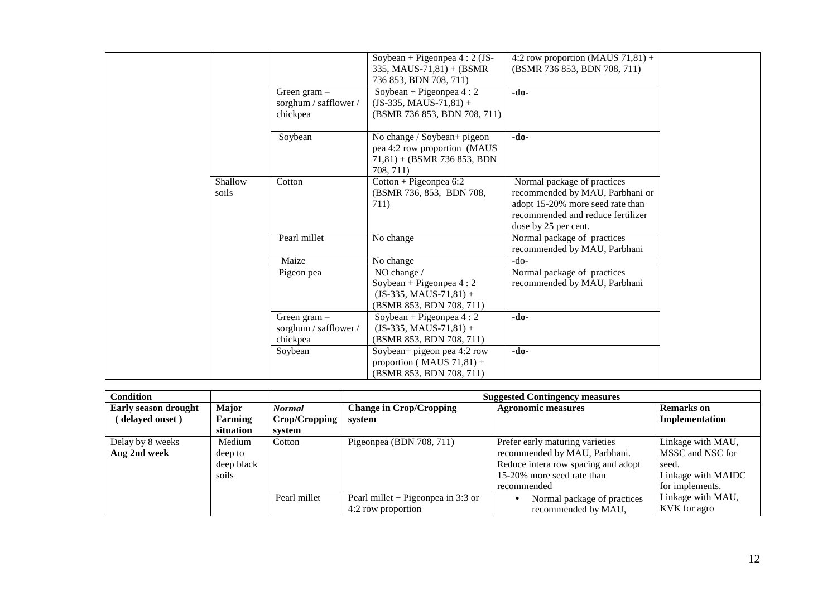|                  | Green $gram -$<br>sorghum / safflower /<br>chickpea | Soybean + Pigeonpea $4:2$ (JS-<br>335, MAUS-71,81) + (BSMR<br>736 853, BDN 708, 711)<br>Soybean + Pigeonpea $4:2$<br>$(JS-335, MAUS-71,81) +$<br>(BSMR 736 853, BDN 708, 711) | 4:2 row proportion (MAUS $71,81$ ) +<br>(BSMR 736 853, BDN 708, 711)<br>-do-                                                                                    |
|------------------|-----------------------------------------------------|-------------------------------------------------------------------------------------------------------------------------------------------------------------------------------|-----------------------------------------------------------------------------------------------------------------------------------------------------------------|
|                  | Soybean                                             | No change / Soybean+ pigeon<br>pea 4:2 row proportion (MAUS<br>$71,81$ + (BSMR 736 853, BDN<br>708.711)                                                                       | -do-                                                                                                                                                            |
| Shallow<br>soils | Cotton                                              | $Cottom + Pigeonpea 6:2$<br>(BSMR 736, 853, BDN 708,<br>711)                                                                                                                  | Normal package of practices<br>recommended by MAU, Parbhani or<br>adopt 15-20% more seed rate than<br>recommended and reduce fertilizer<br>dose by 25 per cent. |
|                  | Pearl millet                                        | No change                                                                                                                                                                     | Normal package of practices<br>recommended by MAU, Parbhani                                                                                                     |
|                  | Maize                                               | No change                                                                                                                                                                     | $-do-$                                                                                                                                                          |
|                  | Pigeon pea                                          | NO change /<br>Soybean + Pigeonpea $4:2$<br>$(JS-335, MAUS-71,81) +$<br>(BSMR 853, BDN 708, 711)                                                                              | Normal package of practices<br>recommended by MAU, Parbhani                                                                                                     |
|                  | Green gram $-$<br>sorghum / safflower /<br>chickpea | Soybean + Pigeonpea $4:2$<br>$(JS-335, MAUS-71,81) +$<br>(BSMR 853, BDN 708, 711)                                                                                             | -do-                                                                                                                                                            |
|                  | Soybean                                             | Soybean+ pigeon pea 4:2 row<br>proportion ( $MAUS 71,81$ ) +<br>(BSMR 853, BDN 708, 711)                                                                                      | -do-                                                                                                                                                            |

| <b>Condition</b>     |                |               |                                      | <b>Suggested Contingency measures</b> |                    |
|----------------------|----------------|---------------|--------------------------------------|---------------------------------------|--------------------|
| Early season drought | <b>Major</b>   | <b>Normal</b> | <b>Change in Crop/Cropping</b>       | <b>Agronomic measures</b>             | <b>Remarks</b> on  |
| (delayed onset)      | <b>Farming</b> | Crop/Cropping | system                               |                                       | Implementation     |
|                      | situation      | system        |                                      |                                       |                    |
| Delay by 8 weeks     | Medium         | Cotton        | Pigeonpea (BDN 708, 711)             | Prefer early maturing varieties       | Linkage with MAU,  |
| Aug 2nd week         | deep to        |               |                                      | recommended by MAU, Parbhani.         | MSSC and NSC for   |
|                      | deep black     |               |                                      | Reduce intera row spacing and adopt   | seed.              |
|                      | soils          |               |                                      | 15-20% more seed rate than            | Linkage with MAIDC |
|                      |                |               |                                      | recommended                           | for implements.    |
|                      |                | Pearl millet  | Pearl millet + Pigeonpea in $3:3$ or | Normal package of practices           | Linkage with MAU,  |
|                      |                |               | 4:2 row proportion                   | recommended by MAU,                   | KVK for agro       |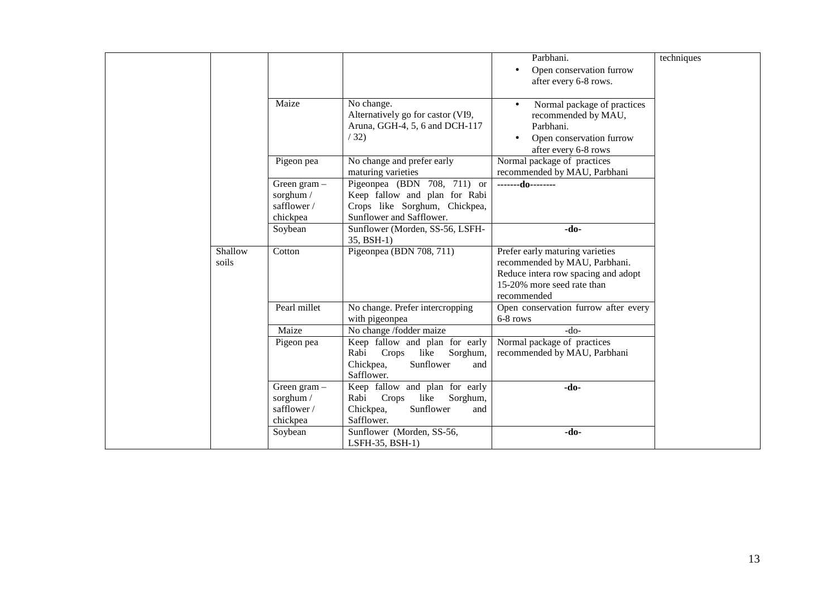|                  |                                                       |                                                                                                                           | Parbhani.<br>Open conservation furrow<br>$\bullet$<br>after every 6-8 rows.                                                                          | techniques |
|------------------|-------------------------------------------------------|---------------------------------------------------------------------------------------------------------------------------|------------------------------------------------------------------------------------------------------------------------------------------------------|------------|
|                  | Maize                                                 | No change.<br>Alternatively go for castor (VI9,<br>Aruna, GGH-4, 5, 6 and DCH-117<br>/32)                                 | Normal package of practices<br>recommended by MAU,<br>Parbhani.<br>Open conservation furrow<br>after every 6-8 rows                                  |            |
|                  | Pigeon pea                                            | No change and prefer early<br>maturing varieties                                                                          | Normal package of practices<br>recommended by MAU, Parbhani                                                                                          |            |
|                  | Green gram $-$<br>sorghum /<br>safflower/<br>chickpea | Pigeonpea (BDN 708, 711) or<br>Keep fallow and plan for Rabi<br>Crops like Sorghum, Chickpea,<br>Sunflower and Safflower. | -------do--------                                                                                                                                    |            |
|                  | Soybean                                               | Sunflower (Morden, SS-56, LSFH-<br>35, BSH-1)                                                                             | $-do-$                                                                                                                                               |            |
| Shallow<br>soils | Cotton                                                | Pigeonpea (BDN 708, 711)                                                                                                  | Prefer early maturing varieties<br>recommended by MAU, Parbhani.<br>Reduce intera row spacing and adopt<br>15-20% more seed rate than<br>recommended |            |
|                  | Pearl millet                                          | No change. Prefer intercropping<br>with pigeonpea                                                                         | Open conservation furrow after every<br>6-8 rows                                                                                                     |            |
|                  | Maize                                                 | No change /fodder maize                                                                                                   | $-do-$                                                                                                                                               |            |
|                  | Pigeon pea                                            | Keep fallow and plan for early<br>Rabi<br>Crops<br>like Sorghum,<br>Chickpea,<br>Sunflower<br>and<br>Safflower.           | Normal package of practices<br>recommended by MAU, Parbhani                                                                                          |            |
|                  | Green gram $-$<br>sorghum /<br>safflower/<br>chickpea | Keep fallow and plan for early<br>like<br>Rabi<br>Crops<br>Sorghum,<br>Sunflower<br>Chickpea,<br>and<br>Safflower.        | -do-                                                                                                                                                 |            |
|                  | Soybean                                               | Sunflower (Morden, SS-56,<br>LSFH-35, BSH-1)                                                                              | $-do-$                                                                                                                                               |            |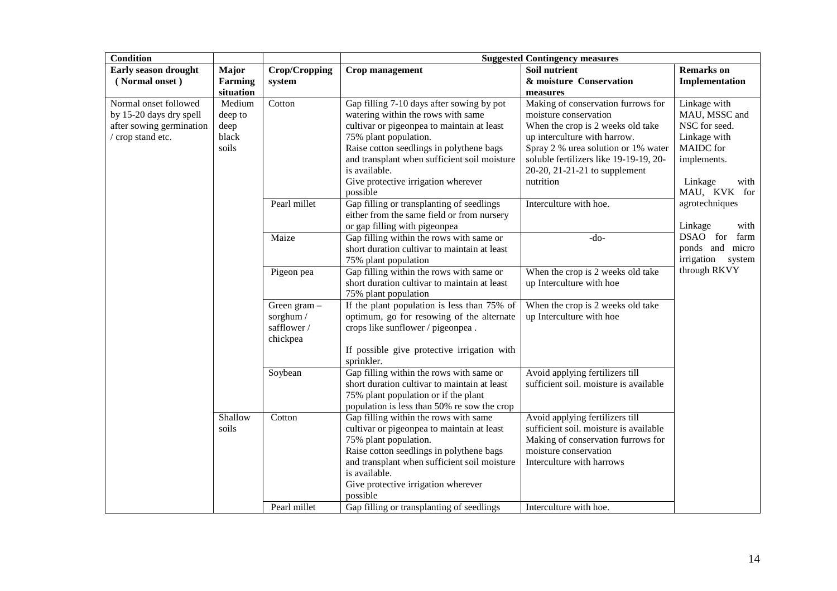| <b>Condition</b>         |                |               | <b>Suggested Contingency measures</b>                             |                                                                           |                      |  |
|--------------------------|----------------|---------------|-------------------------------------------------------------------|---------------------------------------------------------------------------|----------------------|--|
| Early season drought     | <b>Major</b>   | Crop/Cropping | Crop management                                                   | Soil nutrient                                                             | <b>Remarks</b> on    |  |
| (Normal onset)           | <b>Farming</b> | system        |                                                                   | & moisture Conservation                                                   | Implementation       |  |
|                          | situation      |               |                                                                   | measures                                                                  |                      |  |
| Normal onset followed    | Medium         | Cotton        | Gap filling 7-10 days after sowing by pot                         | Making of conservation furrows for                                        | Linkage with         |  |
| by 15-20 days dry spell  | deep to        |               | watering within the rows with same                                | moisture conservation                                                     | MAU, MSSC and        |  |
| after sowing germination | deep           |               | cultivar or pigeonpea to maintain at least                        | When the crop is 2 weeks old take                                         | NSC for seed.        |  |
| / crop stand etc.        | black          |               | 75% plant population.                                             | up interculture with harrow.                                              | Linkage with         |  |
|                          | soils          |               | Raise cotton seedlings in polythene bags                          | Spray 2 % urea solution or 1% water                                       | <b>MAIDC</b> for     |  |
|                          |                |               | and transplant when sufficient soil moisture                      | soluble fertilizers like 19-19-19, 20-                                    | implements.          |  |
|                          |                |               | is available.                                                     | 20-20, 21-21-21 to supplement                                             |                      |  |
|                          |                |               | Give protective irrigation wherever                               | nutrition                                                                 | Linkage<br>with      |  |
|                          |                |               | possible                                                          |                                                                           | MAU, KVK for         |  |
|                          |                | Pearl millet  | Gap filling or transplanting of seedlings                         | Interculture with hoe.                                                    | agrotechniques       |  |
|                          |                |               | either from the same field or from nursery                        |                                                                           |                      |  |
|                          |                |               | or gap filling with pigeonpea                                     |                                                                           | Linkage<br>with      |  |
|                          |                | Maize         | Gap filling within the rows with same or                          | $-do-$                                                                    | DSAO for<br>farm     |  |
|                          |                |               | short duration cultivar to maintain at least                      |                                                                           | ponds and micro      |  |
|                          |                |               | 75% plant population                                              |                                                                           | irrigation<br>system |  |
|                          |                | Pigeon pea    | Gap filling within the rows with same or                          | When the crop is 2 weeks old take                                         | through RKVY         |  |
|                          |                |               | short duration cultivar to maintain at least                      | up Interculture with hoe                                                  |                      |  |
|                          |                |               | 75% plant population                                              |                                                                           |                      |  |
|                          |                | Green gram -  | If the plant population is less than 75% of                       | When the crop is 2 weeks old take                                         |                      |  |
|                          |                | sorghum /     | optimum, go for resowing of the alternate                         | up Interculture with hoe                                                  |                      |  |
|                          |                | safflower /   | crops like sunflower / pigeonpea.                                 |                                                                           |                      |  |
|                          |                | chickpea      |                                                                   |                                                                           |                      |  |
|                          |                |               | If possible give protective irrigation with                       |                                                                           |                      |  |
|                          |                |               | sprinkler.                                                        |                                                                           |                      |  |
|                          |                | Soybean       | Gap filling within the rows with same or                          | Avoid applying fertilizers till                                           |                      |  |
|                          |                |               | short duration cultivar to maintain at least                      | sufficient soil. moisture is available                                    |                      |  |
|                          |                |               | 75% plant population or if the plant                              |                                                                           |                      |  |
|                          | Shallow        |               | population is less than 50% re sow the crop                       |                                                                           |                      |  |
|                          |                | Cotton        | Gap filling within the rows with same                             | Avoid applying fertilizers till<br>sufficient soil. moisture is available |                      |  |
|                          | soils          |               | cultivar or pigeonpea to maintain at least                        |                                                                           |                      |  |
|                          |                |               | 75% plant population.<br>Raise cotton seedlings in polythene bags | Making of conservation furrows for<br>moisture conservation               |                      |  |
|                          |                |               | and transplant when sufficient soil moisture                      | Interculture with harrows                                                 |                      |  |
|                          |                |               | is available.                                                     |                                                                           |                      |  |
|                          |                |               | Give protective irrigation wherever                               |                                                                           |                      |  |
|                          |                |               | possible                                                          |                                                                           |                      |  |
|                          |                | Pearl millet  | Gap filling or transplanting of seedlings                         | Interculture with hoe.                                                    |                      |  |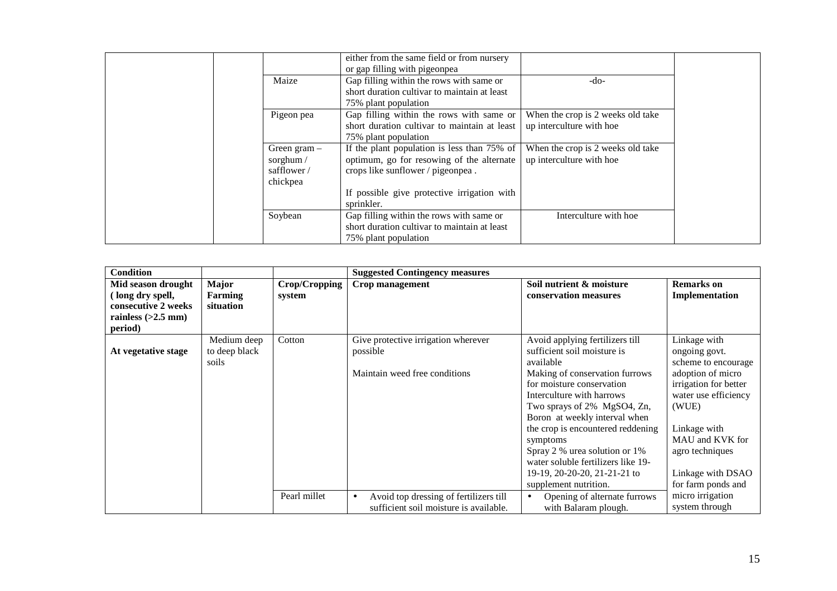|                                                         | either from the same field or from nursery<br>or gap filling with pigeonpea                                                   |                                                               |
|---------------------------------------------------------|-------------------------------------------------------------------------------------------------------------------------------|---------------------------------------------------------------|
| Maize                                                   | Gap filling within the rows with same or<br>short duration cultivar to maintain at least<br>75% plant population              | -do-                                                          |
| Pigeon pea                                              | Gap filling within the rows with same or<br>short duration cultivar to maintain at least<br>75% plant population              | When the crop is 2 weeks old take<br>up interculture with hoe |
| Green gram $-$<br>sorghum $/$<br>safflower/<br>chickpea | If the plant population is less than 75% of<br>optimum, go for resowing of the alternate<br>crops like sunflower / pigeonpea. | When the crop is 2 weeks old take<br>up interculture with hoe |
|                                                         | If possible give protective irrigation with<br>sprinkler.                                                                     |                                                               |
| Soybean                                                 | Gap filling within the rows with same or<br>short duration cultivar to maintain at least<br>75% plant population              | Interculture with hoe                                         |

| <b>Condition</b>                                                                                 |                                       |                         | <b>Suggested Contingency measures</b>                                                         |                                                                                                                                                                                                                                                                                                                                                                                                                          |                                                                                                                                                                                                                                      |
|--------------------------------------------------------------------------------------------------|---------------------------------------|-------------------------|-----------------------------------------------------------------------------------------------|--------------------------------------------------------------------------------------------------------------------------------------------------------------------------------------------------------------------------------------------------------------------------------------------------------------------------------------------------------------------------------------------------------------------------|--------------------------------------------------------------------------------------------------------------------------------------------------------------------------------------------------------------------------------------|
| Mid season drought<br>(long dry spell,<br>consecutive 2 weeks<br>rainless $(>2.5$ mm)<br>period) | <b>Major</b><br>Farming<br>situation  | Crop/Cropping<br>system | Crop management                                                                               | Soil nutrient & moisture<br>conservation measures                                                                                                                                                                                                                                                                                                                                                                        | <b>Remarks</b> on<br>Implementation                                                                                                                                                                                                  |
| At vegetative stage                                                                              | Medium deep<br>to deep black<br>soils | Cotton                  | Give protective irrigation wherever<br>possible<br>Maintain weed free conditions              | Avoid applying fertilizers till<br>sufficient soil moisture is<br>available<br>Making of conservation furrows<br>for moisture conservation<br>Interculture with harrows<br>Two sprays of 2% MgSO4, Zn,<br>Boron at weekly interval when<br>the crop is encountered reddening<br>symptoms<br>Spray 2 % urea solution or 1%<br>water soluble fertilizers like 19-<br>19-19, 20-20-20, 21-21-21 to<br>supplement nutrition. | Linkage with<br>ongoing govt.<br>scheme to encourage<br>adoption of micro<br>irrigation for better<br>water use efficiency<br>(WUE)<br>Linkage with<br>MAU and KVK for<br>agro techniques<br>Linkage with DSAO<br>for farm ponds and |
|                                                                                                  |                                       | Pearl millet            | Avoid top dressing of fertilizers till<br>$\bullet$<br>sufficient soil moisture is available. | Opening of alternate furrows<br>$\bullet$<br>with Balaram plough.                                                                                                                                                                                                                                                                                                                                                        | micro irrigation<br>system through                                                                                                                                                                                                   |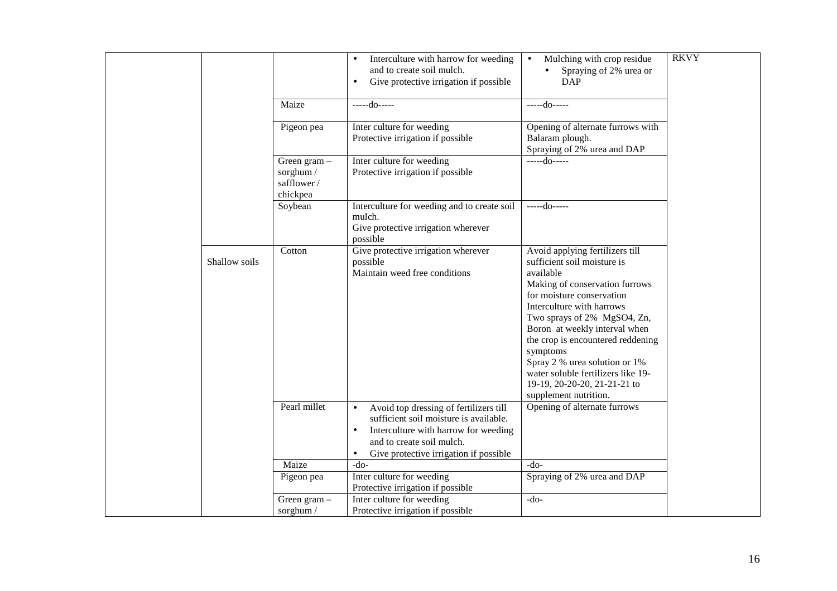|               |                                                     | Interculture with harrow for weeding<br>$\bullet$<br>and to create soil mulch.<br>Give protective irrigation if possible<br>$\bullet$                                                                                                  | Mulching with crop residue<br>$\bullet$<br>Spraying of 2% urea or<br>DAP                                                                                                                                                                                                                                                                                                                                                 | <b>RKVY</b> |
|---------------|-----------------------------------------------------|----------------------------------------------------------------------------------------------------------------------------------------------------------------------------------------------------------------------------------------|--------------------------------------------------------------------------------------------------------------------------------------------------------------------------------------------------------------------------------------------------------------------------------------------------------------------------------------------------------------------------------------------------------------------------|-------------|
|               | Maize                                               | $---do---$                                                                                                                                                                                                                             | $---do---$                                                                                                                                                                                                                                                                                                                                                                                                               |             |
|               | Pigeon pea                                          | Inter culture for weeding<br>Protective irrigation if possible                                                                                                                                                                         | Opening of alternate furrows with<br>Balaram plough.<br>Spraying of 2% urea and DAP                                                                                                                                                                                                                                                                                                                                      |             |
|               | Green gram -<br>sorghum /<br>safflower/<br>chickpea | Inter culture for weeding<br>Protective irrigation if possible                                                                                                                                                                         | $---do---$                                                                                                                                                                                                                                                                                                                                                                                                               |             |
|               | Soybean                                             | Interculture for weeding and to create soil<br>mulch.<br>Give protective irrigation wherever<br>possible                                                                                                                               | -----do-----                                                                                                                                                                                                                                                                                                                                                                                                             |             |
| Shallow soils | Cotton                                              | Give protective irrigation wherever<br>possible<br>Maintain weed free conditions                                                                                                                                                       | Avoid applying fertilizers till<br>sufficient soil moisture is<br>available<br>Making of conservation furrows<br>for moisture conservation<br>Interculture with harrows<br>Two sprays of 2% MgSO4, Zn,<br>Boron at weekly interval when<br>the crop is encountered reddening<br>symptoms<br>Spray 2 % urea solution or 1%<br>water soluble fertilizers like 19-<br>19-19, 20-20-20, 21-21-21 to<br>supplement nutrition. |             |
|               | Pearl millet                                        | Avoid top dressing of fertilizers till<br>$\bullet$<br>sufficient soil moisture is available.<br>Interculture with harrow for weeding<br>$\bullet$<br>and to create soil mulch.<br>Give protective irrigation if possible<br>$\bullet$ | Opening of alternate furrows                                                                                                                                                                                                                                                                                                                                                                                             |             |
|               | Maize                                               | $-do-$                                                                                                                                                                                                                                 | $-do-$                                                                                                                                                                                                                                                                                                                                                                                                                   |             |
|               | Pigeon pea                                          | Inter culture for weeding<br>Protective irrigation if possible                                                                                                                                                                         | Spraying of 2% urea and DAP                                                                                                                                                                                                                                                                                                                                                                                              |             |
|               | Green gram $-$<br>sorghum /                         | Inter culture for weeding<br>Protective irrigation if possible                                                                                                                                                                         | $-do-$                                                                                                                                                                                                                                                                                                                                                                                                                   |             |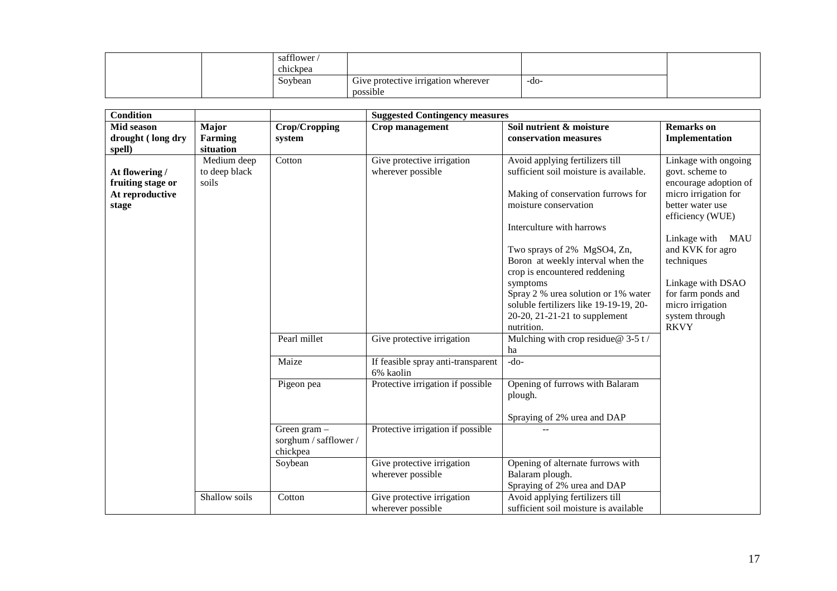|  | safflower<br>chickpea |                                                 |      |  |
|--|-----------------------|-------------------------------------------------|------|--|
|  | Soybean               | Give protective irrigation wherever<br>possible | -do- |  |

| <b>Condition</b>                                                |                                       |                                                     | <b>Suggested Contingency measures</b>           |                                                                                                                                                                                                                                                                                                                                                                                                                        |                                                                                                                                                                                                                                                                                           |  |  |
|-----------------------------------------------------------------|---------------------------------------|-----------------------------------------------------|-------------------------------------------------|------------------------------------------------------------------------------------------------------------------------------------------------------------------------------------------------------------------------------------------------------------------------------------------------------------------------------------------------------------------------------------------------------------------------|-------------------------------------------------------------------------------------------------------------------------------------------------------------------------------------------------------------------------------------------------------------------------------------------|--|--|
| Mid season<br>drought (long dry<br>spell)                       | Major<br><b>Farming</b><br>situation  | Crop/Cropping<br>system                             | Crop management                                 | Soil nutrient & moisture<br>conservation measures                                                                                                                                                                                                                                                                                                                                                                      | <b>Remarks</b> on<br>Implementation                                                                                                                                                                                                                                                       |  |  |
| At flowering /<br>fruiting stage or<br>At reproductive<br>stage | Medium deep<br>to deep black<br>soils | Cotton                                              | Give protective irrigation<br>wherever possible | Avoid applying fertilizers till<br>sufficient soil moisture is available.<br>Making of conservation furrows for<br>moisture conservation<br>Interculture with harrows<br>Two sprays of 2% MgSO4, Zn,<br>Boron at weekly interval when the<br>crop is encountered reddening<br>symptoms<br>Spray 2 % urea solution or 1% water<br>soluble fertilizers like 19-19-19, 20-<br>20-20, 21-21-21 to supplement<br>nutrition. | Linkage with ongoing<br>govt. scheme to<br>encourage adoption of<br>micro irrigation for<br>better water use<br>efficiency (WUE)<br>Linkage with<br>MAU<br>and KVK for agro<br>techniques<br>Linkage with DSAO<br>for farm ponds and<br>micro irrigation<br>system through<br><b>RKVY</b> |  |  |
|                                                                 |                                       | Pearl millet                                        | Give protective irrigation                      | Mulching with crop residue $@$ 3-5 t /<br>ha                                                                                                                                                                                                                                                                                                                                                                           |                                                                                                                                                                                                                                                                                           |  |  |
|                                                                 |                                       | Maize                                               | If feasible spray anti-transparent<br>6% kaolin | $-do-$                                                                                                                                                                                                                                                                                                                                                                                                                 |                                                                                                                                                                                                                                                                                           |  |  |
|                                                                 |                                       | Pigeon pea                                          | Protective irrigation if possible               | Opening of furrows with Balaram<br>plough.<br>Spraying of 2% urea and DAP                                                                                                                                                                                                                                                                                                                                              |                                                                                                                                                                                                                                                                                           |  |  |
|                                                                 |                                       | Green gram $-$<br>sorghum / safflower /<br>chickpea | Protective irrigation if possible               |                                                                                                                                                                                                                                                                                                                                                                                                                        |                                                                                                                                                                                                                                                                                           |  |  |
|                                                                 |                                       | Soybean                                             | Give protective irrigation<br>wherever possible | Opening of alternate furrows with<br>Balaram plough.<br>Spraying of 2% urea and DAP                                                                                                                                                                                                                                                                                                                                    |                                                                                                                                                                                                                                                                                           |  |  |
|                                                                 | Shallow soils                         | Cotton                                              | Give protective irrigation<br>wherever possible | Avoid applying fertilizers till<br>sufficient soil moisture is available                                                                                                                                                                                                                                                                                                                                               |                                                                                                                                                                                                                                                                                           |  |  |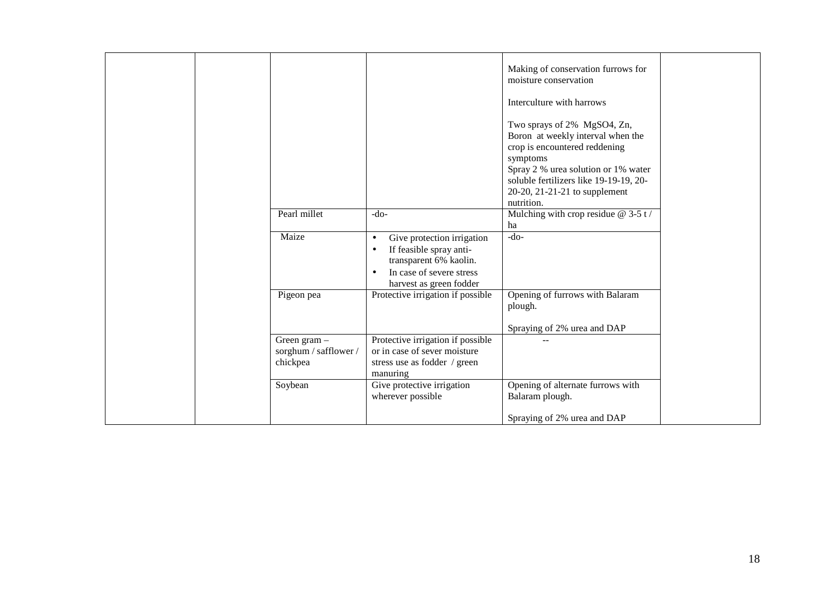|                                                     |                                                                                                                                                                               | Making of conservation furrows for<br>moisture conservation<br>Interculture with harrows<br>Two sprays of 2% MgSO4, Zn,<br>Boron at weekly interval when the              |
|-----------------------------------------------------|-------------------------------------------------------------------------------------------------------------------------------------------------------------------------------|---------------------------------------------------------------------------------------------------------------------------------------------------------------------------|
|                                                     |                                                                                                                                                                               | crop is encountered reddening<br>symptoms<br>Spray 2 % urea solution or 1% water<br>soluble fertilizers like 19-19-19, 20-<br>20-20, 21-21-21 to supplement<br>nutrition. |
| Pearl millet                                        | $-do-$                                                                                                                                                                        | Mulching with crop residue $@$ 3-5 t/<br>ha                                                                                                                               |
| Maize                                               | Give protection irrigation<br>$\bullet$<br>If feasible spray anti-<br>$\bullet$<br>transparent 6% kaolin.<br>In case of severe stress<br>$\bullet$<br>harvest as green fodder | $-do-$                                                                                                                                                                    |
| Pigeon pea                                          | Protective irrigation if possible                                                                                                                                             | Opening of furrows with Balaram<br>plough.<br>Spraying of 2% urea and DAP                                                                                                 |
| Green gram $-$<br>sorghum / safflower /<br>chickpea | Protective irrigation if possible<br>or in case of sever moisture<br>stress use as fodder / green<br>manuring                                                                 |                                                                                                                                                                           |
| Soybean                                             | Give protective irrigation<br>wherever possible                                                                                                                               | Opening of alternate furrows with<br>Balaram plough.                                                                                                                      |
|                                                     |                                                                                                                                                                               | Spraying of 2% urea and DAP                                                                                                                                               |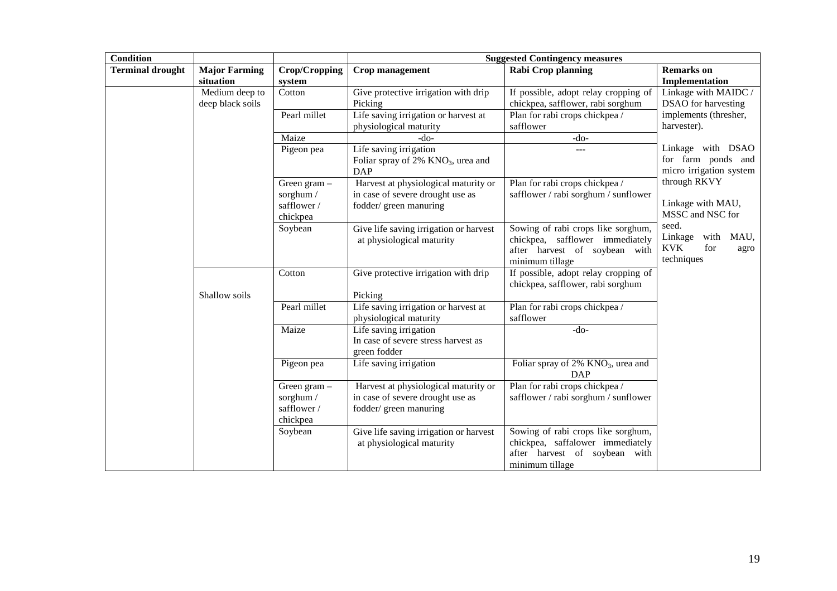| <b>Condition</b>        |                                    |                                                     | <b>Suggested Contingency measures</b>                                                              |                                                                                                                            |                                                                          |  |
|-------------------------|------------------------------------|-----------------------------------------------------|----------------------------------------------------------------------------------------------------|----------------------------------------------------------------------------------------------------------------------------|--------------------------------------------------------------------------|--|
| <b>Terminal drought</b> | <b>Major Farming</b><br>situation  | Crop/Cropping<br>system                             | Crop management                                                                                    | <b>Rabi Crop planning</b>                                                                                                  | <b>Remarks</b> on<br>Implementation                                      |  |
|                         | Medium deep to<br>deep black soils | Cotton                                              | Give protective irrigation with drip<br>Picking                                                    | If possible, adopt relay cropping of<br>chickpea, safflower, rabi sorghum                                                  | Linkage with MAIDC /<br>DSAO for harvesting                              |  |
|                         |                                    | Pearl millet                                        | Life saving irrigation or harvest at<br>physiological maturity                                     | Plan for rabi crops chickpea /<br>safflower                                                                                | implements (thresher,<br>harvester).                                     |  |
|                         |                                    | Maize                                               | $-do-$                                                                                             | $-do-$                                                                                                                     |                                                                          |  |
|                         |                                    | Pigeon pea                                          | Life saving irrigation<br>Foliar spray of 2% KNO <sub>3</sub> , urea and<br><b>DAP</b>             | $\overline{a}$                                                                                                             | Linkage with DSAO<br>for farm ponds and<br>micro irrigation system       |  |
|                         |                                    | Green gram -<br>sorghum /<br>safflower/<br>chickpea | Harvest at physiological maturity or<br>in case of severe drought use as<br>fodder/ green manuring | Plan for rabi crops chickpea /<br>safflower / rabi sorghum / sunflower                                                     | through RKVY<br>Linkage with MAU,<br>MSSC and NSC for                    |  |
|                         |                                    | Soybean                                             | Give life saving irrigation or harvest<br>at physiological maturity                                | Sowing of rabi crops like sorghum,<br>chickpea, safflower immediately<br>after harvest of soybean with<br>minimum tillage  | seed.<br>Linkage<br>with MAU,<br><b>KVK</b><br>for<br>agro<br>techniques |  |
|                         | Shallow soils                      | Cotton                                              | Give protective irrigation with drip<br>Picking                                                    | If possible, adopt relay cropping of<br>chickpea, safflower, rabi sorghum                                                  |                                                                          |  |
|                         |                                    | Pearl millet                                        | Life saving irrigation or harvest at<br>physiological maturity                                     | Plan for rabi crops chickpea /<br>safflower                                                                                |                                                                          |  |
|                         |                                    | Maize                                               | Life saving irrigation<br>In case of severe stress harvest as<br>green fodder                      | $-do-$                                                                                                                     |                                                                          |  |
|                         |                                    | Pigeon pea                                          | Life saving irrigation                                                                             | Foliar spray of 2% KNO <sub>3</sub> , urea and<br><b>DAP</b>                                                               |                                                                          |  |
|                         |                                    | Green gram -<br>sorghum /<br>safflower/<br>chickpea | Harvest at physiological maturity or<br>in case of severe drought use as<br>fodder/green manuring  | Plan for rabi crops chickpea /<br>safflower / rabi sorghum / sunflower                                                     |                                                                          |  |
|                         |                                    | Soybean                                             | Give life saving irrigation or harvest<br>at physiological maturity                                | Sowing of rabi crops like sorghum,<br>chickpea, saffalower immediately<br>after harvest of soybean with<br>minimum tillage |                                                                          |  |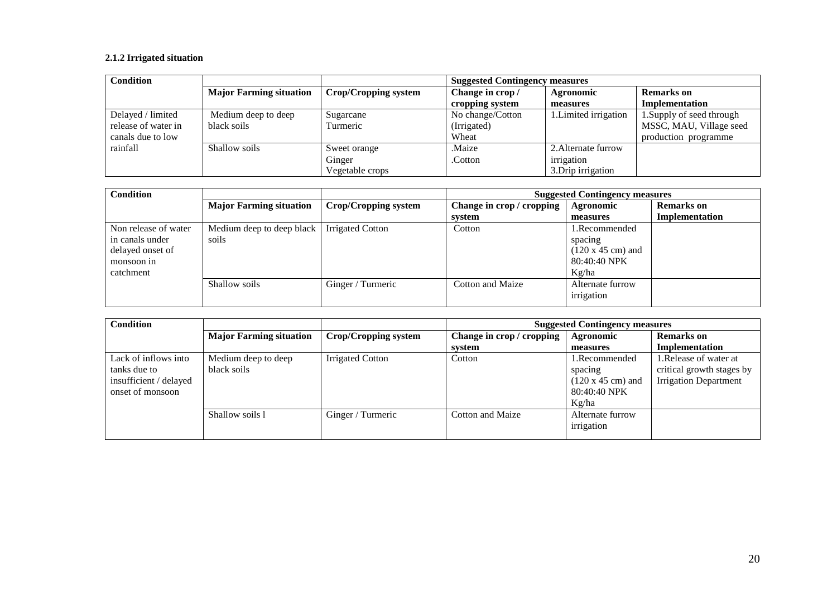## **2.1.2 Irrigated situation**

| <b>Condition</b>    |                                |                      | <b>Suggested Contingency measures</b> |                       |                           |  |
|---------------------|--------------------------------|----------------------|---------------------------------------|-----------------------|---------------------------|--|
|                     | <b>Major Farming situation</b> | Crop/Cropping system | Change in crop/                       | Agronomic             | <b>Remarks</b> on         |  |
|                     |                                |                      | cropping system                       | measures              | <b>Implementation</b>     |  |
| Delayed / limited   | Medium deep to deep            | Sugarcane            | No change/Cotton                      | 1. Limited irrigation | 1. Supply of seed through |  |
| release of water in | black soils                    | Turmeric             | (Irrigated)                           |                       | MSSC, MAU, Village seed   |  |
| canals due to low   |                                |                      | Wheat                                 |                       | production programme      |  |
| rainfall            | Shallow soils                  | Sweet orange         | Maize.                                | 2. Alternate furrow   |                           |  |
|                     |                                | Ginger               | .Cotton                               | irrigation            |                           |  |
|                     |                                | Vegetable crops      |                                       | 3. Drip irrigation    |                           |  |

| <b>Condition</b>     |                                |                         | <b>Suggested Contingency measures</b> |                                  |                   |
|----------------------|--------------------------------|-------------------------|---------------------------------------|----------------------------------|-------------------|
|                      | <b>Major Farming situation</b> | Crop/Cropping system    | Change in crop / cropping             | Agronomic                        | <b>Remarks</b> on |
|                      |                                |                         | system                                | measures                         | Implementation    |
| Non release of water | Medium deep to deep black      | <b>Irrigated Cotton</b> | Cotton                                | 1.Recommended                    |                   |
| in canals under      | soils                          |                         |                                       | spacing                          |                   |
| delayed onset of     |                                |                         |                                       | $(120 \times 45 \text{ cm})$ and |                   |
| monsoon in           |                                |                         |                                       | 80:40:40 NPK                     |                   |
| catchment            |                                |                         |                                       | Kg/ha                            |                   |
|                      | Shallow soils                  | Ginger / Turmeric       | Cotton and Maize                      | Alternate furrow                 |                   |
|                      |                                |                         |                                       | irrigation                       |                   |

| <b>Condition</b>       |                                |                      | <b>Suggested Contingency measures</b> |                                  |                              |  |
|------------------------|--------------------------------|----------------------|---------------------------------------|----------------------------------|------------------------------|--|
|                        | <b>Major Farming situation</b> | Crop/Cropping system | Change in crop / cropping             | Agronomic                        | <b>Remarks</b> on            |  |
|                        |                                |                      | system                                | measures                         | Implementation               |  |
| Lack of inflows into   | Medium deep to deep            | Irrigated Cotton     | Cotton                                | 1.Recommended                    | 1. Release of water at       |  |
| tanks due to           | black soils                    |                      |                                       | spacing                          | critical growth stages by    |  |
| insufficient / delayed |                                |                      |                                       | $(120 \times 45 \text{ cm})$ and | <b>Irrigation Department</b> |  |
| onset of monsoon       |                                |                      |                                       | 80:40:40 NPK                     |                              |  |
|                        |                                |                      |                                       | Kg/ha                            |                              |  |
|                        | Shallow soils 1                | Ginger / Turmeric    | Cotton and Maize                      | Alternate furrow                 |                              |  |
|                        |                                |                      |                                       | irrigation                       |                              |  |
|                        |                                |                      |                                       |                                  |                              |  |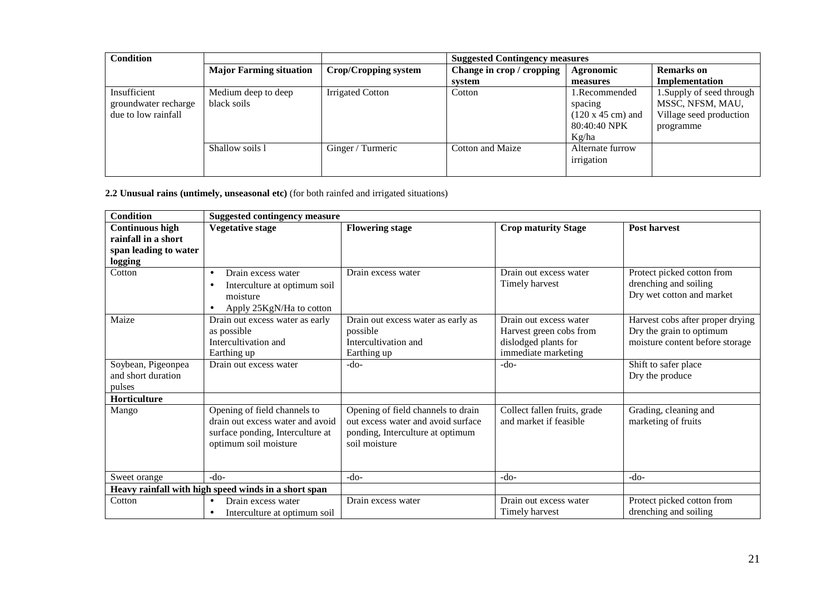| <b>Condition</b>                                            |                                    |                             | <b>Suggested Contingency measures</b> |                                                                                       |                                                                                       |  |
|-------------------------------------------------------------|------------------------------------|-----------------------------|---------------------------------------|---------------------------------------------------------------------------------------|---------------------------------------------------------------------------------------|--|
|                                                             | <b>Major Farming situation</b>     | <b>Crop/Cropping system</b> | Change in crop / cropping             | Agronomic                                                                             | <b>Remarks</b> on                                                                     |  |
|                                                             |                                    |                             | system                                | measures                                                                              | Implementation                                                                        |  |
| Insufficient<br>groundwater recharge<br>due to low rainfall | Medium deep to deep<br>black soils | <b>Irrigated Cotton</b>     | Cotton                                | 1.Recommended<br>spacing<br>$(120 \times 45 \text{ cm})$ and<br>80:40:40 NPK<br>Kg/ha | 1. Supply of seed through<br>MSSC, NFSM, MAU,<br>Village seed production<br>programme |  |
|                                                             | Shallow soils 1                    | Ginger / Turmeric           | Cotton and Maize                      | Alternate furrow<br>irrigation                                                        |                                                                                       |  |

**2.2 Unusual rains (untimely, unseasonal etc)** (for both rainfed and irrigated situations)

| <b>Condition</b>                                                                  | <b>Suggested contingency measure</b>                                                                                          |                                                                                                                               |                                                                                                  |                                                                                                 |
|-----------------------------------------------------------------------------------|-------------------------------------------------------------------------------------------------------------------------------|-------------------------------------------------------------------------------------------------------------------------------|--------------------------------------------------------------------------------------------------|-------------------------------------------------------------------------------------------------|
| <b>Continuous high</b><br>rainfall in a short<br>span leading to water<br>logging | <b>Vegetative stage</b>                                                                                                       | <b>Flowering stage</b>                                                                                                        | <b>Crop maturity Stage</b>                                                                       | <b>Post harvest</b>                                                                             |
| Cotton                                                                            | Drain excess water<br>$\bullet$<br>Interculture at optimum soil<br>$\bullet$<br>moisture<br>Apply 25KgN/Ha to cotton          | Drain excess water                                                                                                            | Drain out excess water<br>Timely harvest                                                         | Protect picked cotton from<br>drenching and soiling<br>Dry wet cotton and market                |
| Maize                                                                             | Drain out excess water as early<br>as possible<br>Intercultivation and<br>Earthing up                                         | Drain out excess water as early as<br>possible<br>Intercultivation and<br>Earthing up                                         | Drain out excess water<br>Harvest green cobs from<br>dislodged plants for<br>immediate marketing | Harvest cobs after proper drying<br>Dry the grain to optimum<br>moisture content before storage |
| Soybean, Pigeonpea<br>and short duration<br>pulses                                | Drain out excess water                                                                                                        | $-do-$                                                                                                                        | $-do-$                                                                                           | Shift to safer place<br>Dry the produce                                                         |
| Horticulture                                                                      |                                                                                                                               |                                                                                                                               |                                                                                                  |                                                                                                 |
| Mango                                                                             | Opening of field channels to<br>drain out excess water and avoid<br>surface ponding, Interculture at<br>optimum soil moisture | Opening of field channels to drain<br>out excess water and avoid surface<br>ponding, Interculture at optimum<br>soil moisture | Collect fallen fruits, grade<br>and market if feasible                                           | Grading, cleaning and<br>marketing of fruits                                                    |
| Sweet orange                                                                      | $-do-$                                                                                                                        | $-do-$                                                                                                                        | $-do-$                                                                                           | $-do-$                                                                                          |
|                                                                                   | Heavy rainfall with high speed winds in a short span                                                                          |                                                                                                                               |                                                                                                  |                                                                                                 |
| Cotton                                                                            | Drain excess water<br>$\bullet$<br>Interculture at optimum soil<br>$\bullet$                                                  | Drain excess water                                                                                                            | Drain out excess water<br>Timely harvest                                                         | Protect picked cotton from<br>drenching and soiling                                             |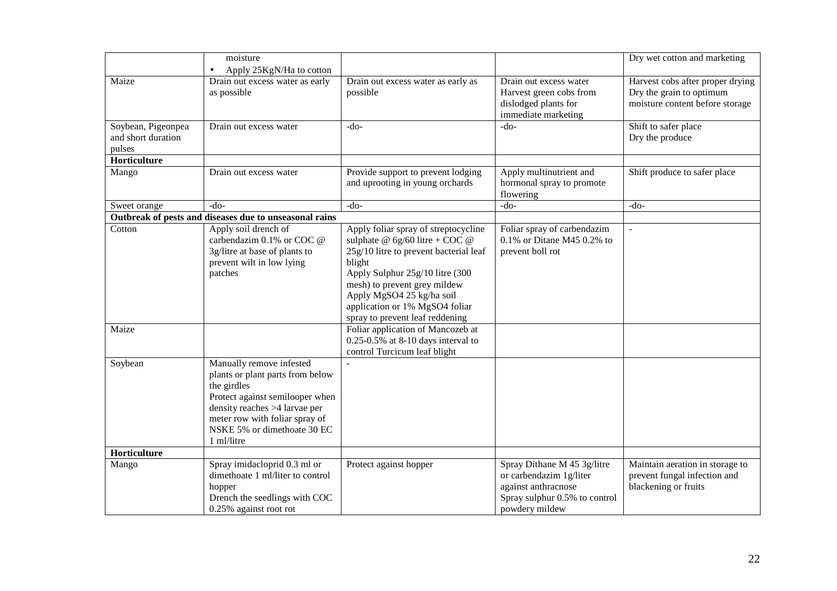|                                                    | moisture<br>Apply 25KgN/Ha to cotton                                                                                                                                                                                           |                                                                                                                                                                                                                                                                                                   |                                                                                                                                  | Dry wet cotton and marketing                                                                    |
|----------------------------------------------------|--------------------------------------------------------------------------------------------------------------------------------------------------------------------------------------------------------------------------------|---------------------------------------------------------------------------------------------------------------------------------------------------------------------------------------------------------------------------------------------------------------------------------------------------|----------------------------------------------------------------------------------------------------------------------------------|-------------------------------------------------------------------------------------------------|
| Maize                                              | Drain out excess water as early<br>as possible                                                                                                                                                                                 | Drain out excess water as early as<br>possible                                                                                                                                                                                                                                                    | Drain out excess water<br>Harvest green cobs from<br>dislodged plants for<br>immediate marketing                                 | Harvest cobs after proper drying<br>Dry the grain to optimum<br>moisture content before storage |
| Soybean, Pigeonpea<br>and short duration<br>pulses | Drain out excess water                                                                                                                                                                                                         | $-do-$                                                                                                                                                                                                                                                                                            | $-do-$                                                                                                                           | Shift to safer place<br>Dry the produce                                                         |
| Horticulture                                       |                                                                                                                                                                                                                                |                                                                                                                                                                                                                                                                                                   |                                                                                                                                  |                                                                                                 |
| Mango                                              | Drain out excess water                                                                                                                                                                                                         | Provide support to prevent lodging<br>and uprooting in young orchards                                                                                                                                                                                                                             | Apply multinutrient and<br>hormonal spray to promote<br>flowering                                                                | Shift produce to safer place                                                                    |
| Sweet orange                                       | $-do-$                                                                                                                                                                                                                         | $-do-$                                                                                                                                                                                                                                                                                            | $-do-$                                                                                                                           | $-do-$                                                                                          |
|                                                    | Outbreak of pests and diseases due to unseasonal rains                                                                                                                                                                         |                                                                                                                                                                                                                                                                                                   |                                                                                                                                  |                                                                                                 |
| Cotton                                             | Apply soil drench of<br>carbendazim 0.1% or COC @<br>3g/litre at base of plants to<br>prevent wilt in low lying<br>patches                                                                                                     | Apply foliar spray of streptocycline<br>sulphate @ $6g/60$ litre + COC @<br>25g/10 litre to prevent bacterial leaf<br>blight<br>Apply Sulphur 25g/10 litre (300<br>mesh) to prevent grey mildew<br>Apply MgSO4 25 kg/ha soil<br>application or 1% MgSO4 foliar<br>spray to prevent leaf reddening | Foliar spray of carbendazim<br>$0.1\%$ or Ditane M45 0.2% to<br>prevent boll rot                                                 | $\bar{\phantom{a}}$                                                                             |
| Maize                                              |                                                                                                                                                                                                                                | Foliar application of Mancozeb at<br>$0.25 - 0.5\%$ at 8-10 days interval to<br>control Turcicum leaf blight                                                                                                                                                                                      |                                                                                                                                  |                                                                                                 |
| Soybean                                            | Manually remove infested<br>plants or plant parts from below<br>the girdles<br>Protect against semilooper when<br>density reaches >4 larvae per<br>meter row with foliar spray of<br>NSKE 5% or dimethoate 30 EC<br>1 ml/litre |                                                                                                                                                                                                                                                                                                   |                                                                                                                                  |                                                                                                 |
| Horticulture                                       |                                                                                                                                                                                                                                |                                                                                                                                                                                                                                                                                                   |                                                                                                                                  |                                                                                                 |
| Mango                                              | Spray imidacloprid 0.3 ml or<br>dimethoate 1 ml/liter to control<br>hopper<br>Drench the seedlings with COC<br>0.25% against root rot                                                                                          | Protect against hopper                                                                                                                                                                                                                                                                            | Spray Dithane M 45 3g/litre<br>or carbendazim 1g/liter<br>against anthracnose<br>Spray sulphur 0.5% to control<br>powdery mildew | Maintain aeration in storage to<br>prevent fungal infection and<br>blackening or fruits         |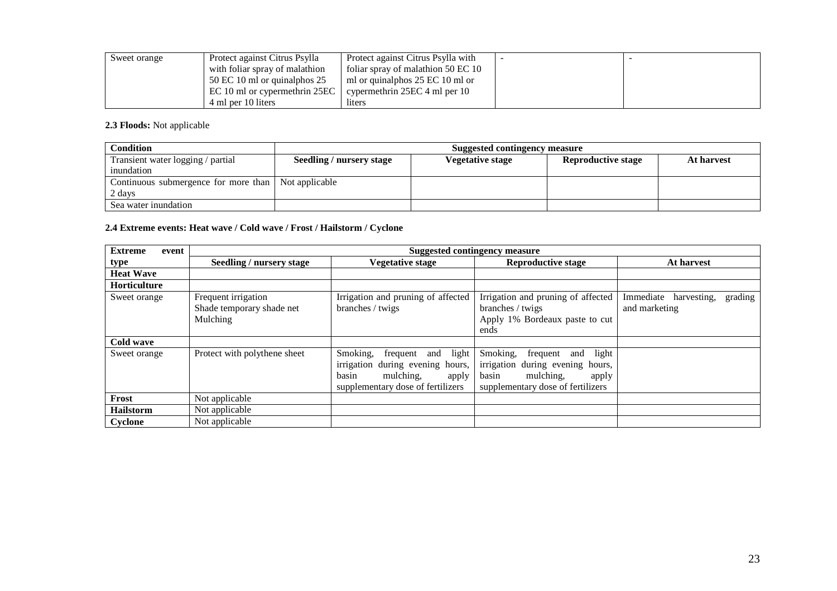| Sweet orange | Protect against Citrus Psylla  | Protect against Citrus Psylla with |  |
|--------------|--------------------------------|------------------------------------|--|
|              | with foliar spray of malathion | foliar spray of malathion 50 EC 10 |  |
|              | 50 EC 10 ml or quinalphos 25   | ml or quinalphos 25 EC 10 ml or    |  |
|              | EC 10 ml or cypermethrin 25EC  | cypermethrin 25EC 4 ml per 10      |  |
|              | 4 ml per 10 liters             | liters                             |  |

**2.3 Floods:** Not applicable

| <b>Condition</b>                                      |                                                                                                | Suggested contingency measure |  |  |  |
|-------------------------------------------------------|------------------------------------------------------------------------------------------------|-------------------------------|--|--|--|
| Transient water logging / partial                     | <b>Reproductive stage</b><br>Seedling / nursery stage<br><b>Vegetative stage</b><br>At harvest |                               |  |  |  |
| inundation                                            |                                                                                                |                               |  |  |  |
| Continuous submergence for more than   Not applicable |                                                                                                |                               |  |  |  |
| 2 days                                                |                                                                                                |                               |  |  |  |
| Sea water inundation                                  |                                                                                                |                               |  |  |  |

## **2.4 Extreme events: Heat wave / Cold wave / Frost / Hailstorm / Cyclone**

| <b>Extreme</b><br>event |                                                              | <b>Suggested contingency measure</b>                                                                                                      |                                                                                                                                           |                                                   |  |  |
|-------------------------|--------------------------------------------------------------|-------------------------------------------------------------------------------------------------------------------------------------------|-------------------------------------------------------------------------------------------------------------------------------------------|---------------------------------------------------|--|--|
| type                    | Seedling / nursery stage                                     | Vegetative stage                                                                                                                          | <b>Reproductive stage</b>                                                                                                                 | At harvest                                        |  |  |
| <b>Heat Wave</b>        |                                                              |                                                                                                                                           |                                                                                                                                           |                                                   |  |  |
| <b>Horticulture</b>     |                                                              |                                                                                                                                           |                                                                                                                                           |                                                   |  |  |
| Sweet orange            | Frequent irrigation<br>Shade temporary shade net<br>Mulching | Irrigation and pruning of affected<br>branches / twigs                                                                                    | Irrigation and pruning of affected<br>branches / twigs<br>Apply 1% Bordeaux paste to cut<br>ends                                          | Immediate harvesting,<br>grading<br>and marketing |  |  |
| Cold wave               |                                                              |                                                                                                                                           |                                                                                                                                           |                                                   |  |  |
| Sweet orange            | Protect with polythene sheet                                 | and light<br>Smoking,<br>frequent<br>irrigation during evening hours,<br>mulching,<br>apply<br>basin<br>supplementary dose of fertilizers | Smoking,<br>light<br>frequent and<br>irrigation during evening hours,<br>basin<br>mulching,<br>apply<br>supplementary dose of fertilizers |                                                   |  |  |
| Frost                   | Not applicable                                               |                                                                                                                                           |                                                                                                                                           |                                                   |  |  |
| <b>Hailstorm</b>        | Not applicable                                               |                                                                                                                                           |                                                                                                                                           |                                                   |  |  |
| Cyclone                 | Not applicable                                               |                                                                                                                                           |                                                                                                                                           |                                                   |  |  |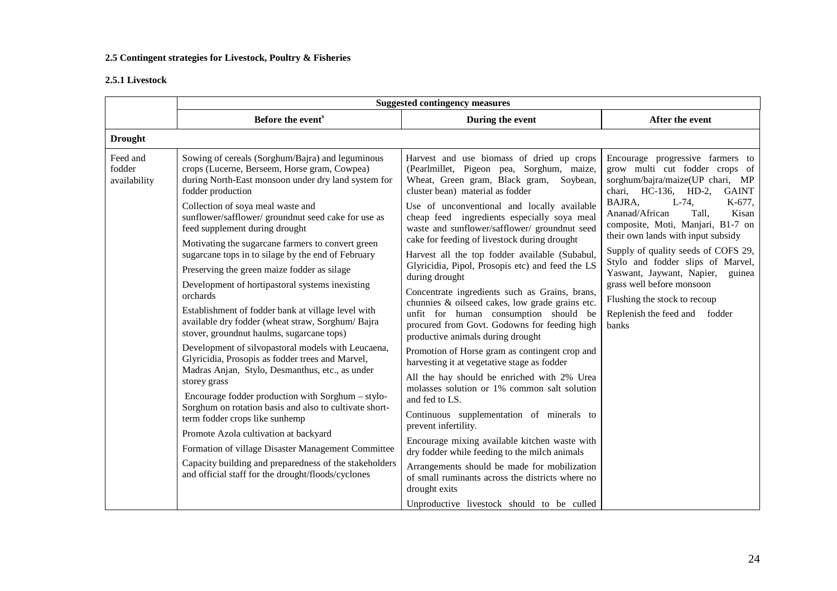## **2.5 Contingent strategies for Livestock, Poultry & Fisheries**

## **2.5.1 Livestock**

|                                                                                                                                                                                                                                                                                                                                                                                                                                                                                                                                                                                                                                                                                                                                              | <b>Suggested contingency measures</b>                                                                                                                                                      |                                                                                                                                                                                             |                                                                                                                                            |  |  |
|----------------------------------------------------------------------------------------------------------------------------------------------------------------------------------------------------------------------------------------------------------------------------------------------------------------------------------------------------------------------------------------------------------------------------------------------------------------------------------------------------------------------------------------------------------------------------------------------------------------------------------------------------------------------------------------------------------------------------------------------|--------------------------------------------------------------------------------------------------------------------------------------------------------------------------------------------|---------------------------------------------------------------------------------------------------------------------------------------------------------------------------------------------|--------------------------------------------------------------------------------------------------------------------------------------------|--|--|
|                                                                                                                                                                                                                                                                                                                                                                                                                                                                                                                                                                                                                                                                                                                                              | Before the event <sup>s</sup>                                                                                                                                                              | During the event                                                                                                                                                                            | After the event                                                                                                                            |  |  |
| <b>Drought</b>                                                                                                                                                                                                                                                                                                                                                                                                                                                                                                                                                                                                                                                                                                                               |                                                                                                                                                                                            |                                                                                                                                                                                             |                                                                                                                                            |  |  |
| Feed and<br>fodder<br>availability                                                                                                                                                                                                                                                                                                                                                                                                                                                                                                                                                                                                                                                                                                           | Sowing of cereals (Sorghum/Bajra) and leguminous<br>crops (Lucerne, Berseem, Horse gram, Cowpea)<br>during North-East monsoon under dry land system for<br>fodder production               | Harvest and use biomass of dried up crops<br>(Pearlmillet, Pigeon pea, Sorghum, maize,<br>Wheat, Green gram, Black gram,<br>Soybean,<br>cluster bean) material as fodder                    | Encourage progressive farmers to<br>grow multi cut fodder crops of<br>sorghum/bajra/maize(UP chari, MP<br>chari, HC-136, HD-2,<br>GAINT    |  |  |
| Collection of soya meal waste and<br>sunflower/safflower/ groundnut seed cake for use as<br>feed supplement during drought<br>Motivating the sugarcane farmers to convert green<br>sugarcane tops in to silage by the end of February<br>Preserving the green maize fodder as silage<br>Development of hortipastoral systems inexisting<br>orchards<br>Establishment of fodder bank at village level with<br>available dry fodder (wheat straw, Sorghum/Bajra<br>stover, groundnut haulms, sugarcane tops)<br>Development of silvopastoral models with Leucaena,<br>Glyricidia, Prosopis as fodder trees and Marvel,<br>Madras Anjan, Stylo, Desmanthus, etc., as under<br>storey grass<br>Encourage fodder production with Sorghum - stylo- |                                                                                                                                                                                            | Use of unconventional and locally available<br>cheap feed ingredients especially soya meal<br>waste and sunflower/safflower/ groundnut seed<br>cake for feeding of livestock during drought | BAJRA.<br>$L-74.$<br>K-677,<br>Ananad/African<br>Kisan<br>Tall.<br>composite, Moti, Manjari, B1-7 on<br>their own lands with input subsidy |  |  |
|                                                                                                                                                                                                                                                                                                                                                                                                                                                                                                                                                                                                                                                                                                                                              |                                                                                                                                                                                            | Harvest all the top fodder available (Subabul,<br>Glyricidia, Pipol, Prosopis etc) and feed the LS<br>during drought                                                                        | Supply of quality seeds of COFS 29,<br>Stylo and fodder slips of Marvel,<br>Yaswant, Jaywant, Napier, guinea                               |  |  |
|                                                                                                                                                                                                                                                                                                                                                                                                                                                                                                                                                                                                                                                                                                                                              | Concentrate ingredients such as Grains, brans,<br>chunnies & oilseed cakes, low grade grains etc.<br>unfit for human consumption should be<br>procured from Govt. Godowns for feeding high | grass well before monsoon<br>Flushing the stock to recoup<br>Replenish the feed and fodder<br>banks                                                                                         |                                                                                                                                            |  |  |
|                                                                                                                                                                                                                                                                                                                                                                                                                                                                                                                                                                                                                                                                                                                                              | productive animals during drought<br>Promotion of Horse gram as contingent crop and<br>harvesting it at vegetative stage as fodder                                                         |                                                                                                                                                                                             |                                                                                                                                            |  |  |
|                                                                                                                                                                                                                                                                                                                                                                                                                                                                                                                                                                                                                                                                                                                                              | Sorghum on rotation basis and also to cultivate short-                                                                                                                                     | All the hay should be enriched with 2% Urea<br>molasses solution or 1% common salt solution<br>and fed to LS.                                                                               |                                                                                                                                            |  |  |
|                                                                                                                                                                                                                                                                                                                                                                                                                                                                                                                                                                                                                                                                                                                                              | term fodder crops like sunhemp                                                                                                                                                             | Continuous supplementation of minerals to<br>prevent infertility.                                                                                                                           |                                                                                                                                            |  |  |
|                                                                                                                                                                                                                                                                                                                                                                                                                                                                                                                                                                                                                                                                                                                                              | Promote Azola cultivation at backyard<br>Formation of village Disaster Management Committee                                                                                                | Encourage mixing available kitchen waste with<br>dry fodder while feeding to the milch animals                                                                                              |                                                                                                                                            |  |  |
|                                                                                                                                                                                                                                                                                                                                                                                                                                                                                                                                                                                                                                                                                                                                              | Capacity building and preparedness of the stakeholders<br>and official staff for the drought/floods/cyclones                                                                               | Arrangements should be made for mobilization<br>of small ruminants across the districts where no<br>drought exits                                                                           |                                                                                                                                            |  |  |
|                                                                                                                                                                                                                                                                                                                                                                                                                                                                                                                                                                                                                                                                                                                                              |                                                                                                                                                                                            | Unproductive livestock should to be culled                                                                                                                                                  |                                                                                                                                            |  |  |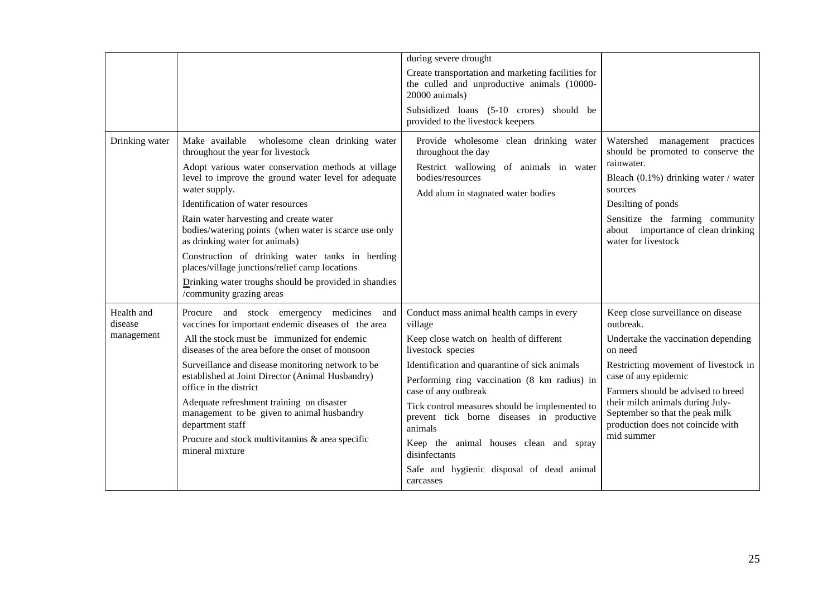|                       |                                                                                                                                                                                                                                                                                                                                                                                                                                                                                                   | during severe drought                                                                                                                                            |                                                                                                                                                                                                                                                                |
|-----------------------|---------------------------------------------------------------------------------------------------------------------------------------------------------------------------------------------------------------------------------------------------------------------------------------------------------------------------------------------------------------------------------------------------------------------------------------------------------------------------------------------------|------------------------------------------------------------------------------------------------------------------------------------------------------------------|----------------------------------------------------------------------------------------------------------------------------------------------------------------------------------------------------------------------------------------------------------------|
|                       |                                                                                                                                                                                                                                                                                                                                                                                                                                                                                                   | Create transportation and marketing facilities for<br>the culled and unproductive animals (10000-<br>20000 animals)                                              |                                                                                                                                                                                                                                                                |
|                       |                                                                                                                                                                                                                                                                                                                                                                                                                                                                                                   | Subsidized loans (5-10 crores) should be<br>provided to the livestock keepers                                                                                    |                                                                                                                                                                                                                                                                |
| Drinking water        | Make available wholesome clean drinking water<br>throughout the year for livestock<br>Adopt various water conservation methods at village<br>level to improve the ground water level for adequate<br>water supply.<br>Identification of water resources<br>Rain water harvesting and create water<br>bodies/watering points (when water is scarce use only<br>as drinking water for animals)<br>Construction of drinking water tanks in herding<br>places/village junctions/relief camp locations | Provide wholesome clean drinking water<br>throughout the day<br>Restrict wallowing of animals in water<br>bodies/resources<br>Add alum in stagnated water bodies | Watershed management practices<br>should be promoted to conserve the<br>rainwater.<br>Bleach $(0.1\%)$ drinking water / water<br>sources<br>Desilting of ponds<br>Sensitize the farming community<br>about importance of clean drinking<br>water for livestock |
|                       | Drinking water troughs should be provided in shandies<br>/community grazing areas                                                                                                                                                                                                                                                                                                                                                                                                                 |                                                                                                                                                                  |                                                                                                                                                                                                                                                                |
| Health and<br>disease | Procure and stock emergency medicines and<br>vaccines for important endemic diseases of the area                                                                                                                                                                                                                                                                                                                                                                                                  | Conduct mass animal health camps in every<br>village                                                                                                             | Keep close surveillance on disease<br>outbreak.                                                                                                                                                                                                                |
| management            | All the stock must be immunized for endemic<br>diseases of the area before the onset of monsoon                                                                                                                                                                                                                                                                                                                                                                                                   | Keep close watch on health of different<br>livestock species                                                                                                     | Undertake the vaccination depending<br>on need                                                                                                                                                                                                                 |
|                       | Surveillance and disease monitoring network to be<br>established at Joint Director (Animal Husbandry)<br>office in the district                                                                                                                                                                                                                                                                                                                                                                   | Identification and quarantine of sick animals<br>Performing ring vaccination (8 km radius) in<br>case of any outbreak                                            | Restricting movement of livestock in<br>case of any epidemic<br>Farmers should be advised to breed                                                                                                                                                             |
|                       | Adequate refreshment training on disaster<br>management to be given to animal husbandry<br>department staff                                                                                                                                                                                                                                                                                                                                                                                       | Tick control measures should be implemented to<br>prevent tick borne diseases in productive<br>animals                                                           | their milch animals during July-<br>September so that the peak milk<br>production does not coincide with                                                                                                                                                       |
|                       | Procure and stock multivitamins & area specific<br>mineral mixture                                                                                                                                                                                                                                                                                                                                                                                                                                | Keep the animal houses clean and spray<br>disinfectants                                                                                                          | mid summer                                                                                                                                                                                                                                                     |
|                       |                                                                                                                                                                                                                                                                                                                                                                                                                                                                                                   | Safe and hygienic disposal of dead animal<br>carcasses                                                                                                           |                                                                                                                                                                                                                                                                |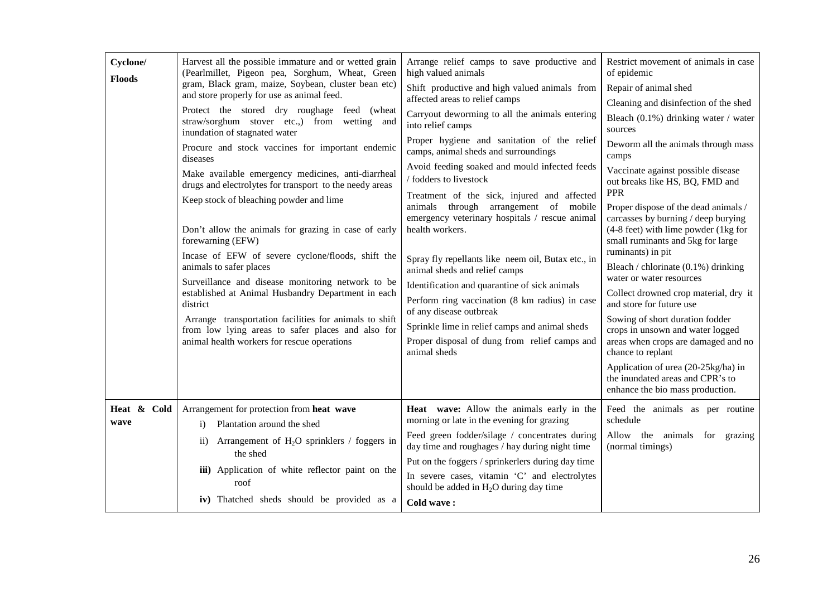| Cyclone/<br><b>Floods</b> | Harvest all the possible immature and or wetted grain<br>(Pearlmillet, Pigeon pea, Sorghum, Wheat, Green<br>gram, Black gram, maize, Soybean, cluster bean etc)<br>and store properly for use as animal feed.<br>Protect the stored dry roughage feed (wheat<br>straw/sorghum stover etc.,) from wetting and<br>inundation of stagnated water<br>Procure and stock vaccines for important endemic<br>diseases<br>Make available emergency medicines, anti-diarrheal<br>drugs and electrolytes for transport to the needy areas<br>Keep stock of bleaching powder and lime<br>Don't allow the animals for grazing in case of early<br>forewarning (EFW)<br>Incase of EFW of severe cyclone/floods, shift the<br>animals to safer places<br>Surveillance and disease monitoring network to be<br>established at Animal Husbandry Department in each<br>district<br>Arrange transportation facilities for animals to shift<br>from low lying areas to safer places and also for<br>animal health workers for rescue operations | Arrange relief camps to save productive and<br>high valued animals<br>Shift productive and high valued animals from<br>affected areas to relief camps<br>Carryout deworming to all the animals entering<br>into relief camps<br>Proper hygiene and sanitation of the relief<br>camps, animal sheds and surroundings<br>Avoid feeding soaked and mould infected feeds<br>/ fodders to livestock<br>Treatment of the sick, injured and affected<br>animals through arrangement of mobile<br>emergency veterinary hospitals / rescue animal<br>health workers.<br>Spray fly repellants like neem oil, Butax etc., in<br>animal sheds and relief camps<br>Identification and quarantine of sick animals<br>Perform ring vaccination (8 km radius) in case<br>of any disease outbreak<br>Sprinkle lime in relief camps and animal sheds<br>Proper disposal of dung from relief camps and<br>animal sheds | Restrict movement of animals in case<br>of epidemic<br>Repair of animal shed<br>Cleaning and disinfection of the shed<br>Bleach (0.1%) drinking water / water<br>sources<br>Deworm all the animals through mass<br>camps<br>Vaccinate against possible disease<br>out breaks like HS, BQ, FMD and<br>PPR<br>Proper dispose of the dead animals /<br>carcasses by burning / deep burying<br>(4-8 feet) with lime powder (1kg for<br>small ruminants and 5kg for large<br>ruminants) in pit<br>Bleach / chlorinate $(0.1\%)$ drinking<br>water or water resources<br>Collect drowned crop material, dry it<br>and store for future use<br>Sowing of short duration fodder<br>crops in unsown and water logged<br>areas when crops are damaged and no<br>chance to replant<br>Application of urea (20-25kg/ha) in<br>the inundated areas and CPR's to<br>enhance the bio mass production. |
|---------------------------|-----------------------------------------------------------------------------------------------------------------------------------------------------------------------------------------------------------------------------------------------------------------------------------------------------------------------------------------------------------------------------------------------------------------------------------------------------------------------------------------------------------------------------------------------------------------------------------------------------------------------------------------------------------------------------------------------------------------------------------------------------------------------------------------------------------------------------------------------------------------------------------------------------------------------------------------------------------------------------------------------------------------------------|-----------------------------------------------------------------------------------------------------------------------------------------------------------------------------------------------------------------------------------------------------------------------------------------------------------------------------------------------------------------------------------------------------------------------------------------------------------------------------------------------------------------------------------------------------------------------------------------------------------------------------------------------------------------------------------------------------------------------------------------------------------------------------------------------------------------------------------------------------------------------------------------------------|----------------------------------------------------------------------------------------------------------------------------------------------------------------------------------------------------------------------------------------------------------------------------------------------------------------------------------------------------------------------------------------------------------------------------------------------------------------------------------------------------------------------------------------------------------------------------------------------------------------------------------------------------------------------------------------------------------------------------------------------------------------------------------------------------------------------------------------------------------------------------------------|
| Heat & Cold<br>wave       | Arrangement for protection from heat wave<br>Plantation around the shed<br>$\mathbf{i}$<br>Arrangement of $H_2O$ sprinklers / foggers in<br>$\mathbf{ii}$<br>the shed<br>iii) Application of white reflector paint on the<br>roof<br>iv) Thatched sheds should be provided as a                                                                                                                                                                                                                                                                                                                                                                                                                                                                                                                                                                                                                                                                                                                                             | Heat wave: Allow the animals early in the<br>morning or late in the evening for grazing<br>Feed green fodder/silage / concentrates during<br>day time and roughages / hay during night time<br>Put on the foggers / sprinkerlers during day time<br>In severe cases, vitamin 'C' and electrolytes<br>should be added in $H_2O$ during day time<br>Cold wave:                                                                                                                                                                                                                                                                                                                                                                                                                                                                                                                                        | Feed the animals as per routine<br>schedule<br>Allow the animals for grazing<br>(normal timings)                                                                                                                                                                                                                                                                                                                                                                                                                                                                                                                                                                                                                                                                                                                                                                                       |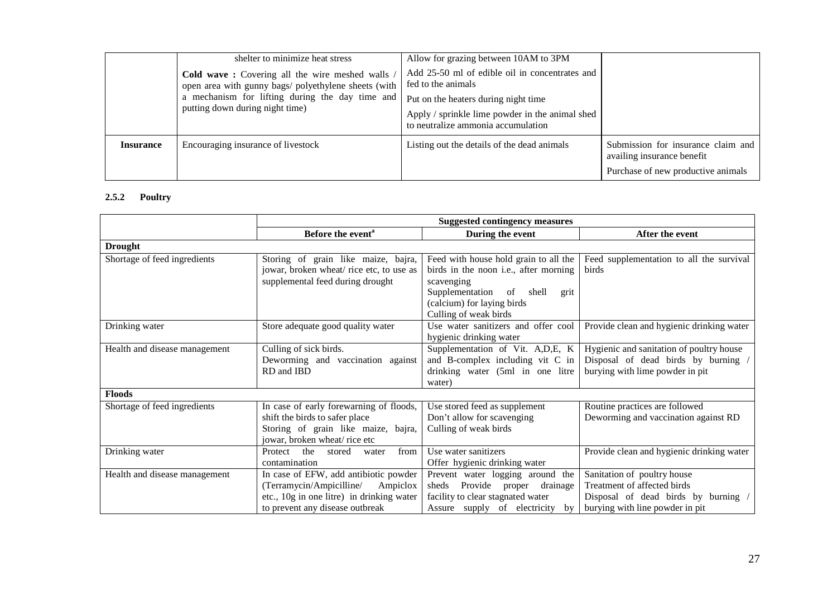|                  | shelter to minimize heat stress                                                                                                                                                             | Allow for grazing between 10AM to 3PM                                                                                         |                                                                                                        |
|------------------|---------------------------------------------------------------------------------------------------------------------------------------------------------------------------------------------|-------------------------------------------------------------------------------------------------------------------------------|--------------------------------------------------------------------------------------------------------|
|                  | Cold wave: Covering all the wire meshed walls<br>open area with gunny bags/ polyethylene sheets (with<br>a mechanism for lifting during the day time and<br>putting down during night time) | Add 25-50 ml of edible oil in concentrates and<br>fed to the animals                                                          |                                                                                                        |
|                  |                                                                                                                                                                                             | Put on the heaters during night time<br>Apply / sprinkle lime powder in the animal shed<br>to neutralize ammonia accumulation |                                                                                                        |
| <b>Insurance</b> | Encouraging insurance of livestock                                                                                                                                                          | Listing out the details of the dead animals                                                                                   | Submission for insurance claim and<br>availing insurance benefit<br>Purchase of new productive animals |

# **2.5.2 Poultry**

|                               | <b>Suggested contingency measures</b>     |                                                     |                                           |  |  |
|-------------------------------|-------------------------------------------|-----------------------------------------------------|-------------------------------------------|--|--|
|                               | Before the event <sup>a</sup>             | During the event                                    | After the event                           |  |  |
| <b>Drought</b>                |                                           |                                                     |                                           |  |  |
| Shortage of feed ingredients  | Storing of grain like maize, bajra,       | Feed with house hold grain to all the               | Feed supplementation to all the survival  |  |  |
|                               | jowar, broken wheat/rice etc, to use as   | birds in the noon i.e., after morning               | <b>birds</b>                              |  |  |
|                               | supplemental feed during drought          | scavenging                                          |                                           |  |  |
|                               |                                           | Supplementation of shell<br>grit                    |                                           |  |  |
|                               |                                           | (calcium) for laying birds<br>Culling of weak birds |                                           |  |  |
| Drinking water                | Store adequate good quality water         | Use water sanitizers and offer cool                 | Provide clean and hygienic drinking water |  |  |
|                               |                                           | hygienic drinking water                             |                                           |  |  |
| Health and disease management | Culling of sick birds.                    | Supplementation of Vit. A,D,E, K                    | Hygienic and sanitation of poultry house  |  |  |
|                               | Deworming and vaccination against         | and B-complex including vit C in                    | Disposal of dead birds by burning /       |  |  |
|                               | RD and IBD                                | drinking water (5ml in one litre                    | burying with lime powder in pit           |  |  |
|                               |                                           | water)                                              |                                           |  |  |
| <b>Floods</b>                 |                                           |                                                     |                                           |  |  |
| Shortage of feed ingredients  | In case of early forewarning of floods,   | Use stored feed as supplement                       | Routine practices are followed            |  |  |
|                               | shift the birds to safer place            | Don't allow for scavenging                          | Deworming and vaccination against RD      |  |  |
|                               | Storing of grain like maize, bajra,       | Culling of weak birds                               |                                           |  |  |
|                               | jowar, broken wheat/rice etc              |                                                     |                                           |  |  |
| Drinking water                | from<br>Protect<br>the<br>stored<br>water | Use water sanitizers                                | Provide clean and hygienic drinking water |  |  |
|                               | contamination                             | Offer hygienic drinking water                       |                                           |  |  |
| Health and disease management | In case of EFW, add antibiotic powder     | Prevent water logging around the                    | Sanitation of poultry house               |  |  |
|                               | (Terramycin/Ampicilline/<br>Ampiclox      | Provide<br>proper<br>drainage<br>sheds              | Treatment of affected birds               |  |  |
|                               | etc., 10g in one litre) in drinking water | facility to clear stagnated water                   | Disposal of dead birds by burning /       |  |  |
|                               | to prevent any disease outbreak           | Assure supply of electricity<br>by                  | burying with line powder in pit           |  |  |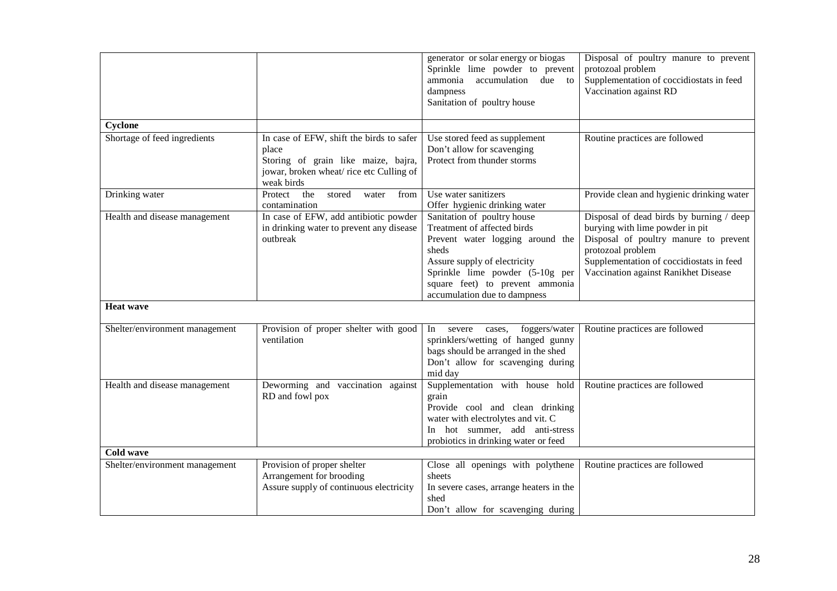|                                |                                                                                                                                                   | generator or solar energy or biogas<br>Sprinkle lime powder to prevent<br>ammonia<br>accumulation<br>due to<br>dampness<br>Sanitation of poultry house                                                                                        | Disposal of poultry manure to prevent<br>protozoal problem<br>Supplementation of coccidiostats in feed<br>Vaccination against RD                                                                                              |
|--------------------------------|---------------------------------------------------------------------------------------------------------------------------------------------------|-----------------------------------------------------------------------------------------------------------------------------------------------------------------------------------------------------------------------------------------------|-------------------------------------------------------------------------------------------------------------------------------------------------------------------------------------------------------------------------------|
| Cyclone                        |                                                                                                                                                   |                                                                                                                                                                                                                                               |                                                                                                                                                                                                                               |
| Shortage of feed ingredients   | In case of EFW, shift the birds to safer<br>place<br>Storing of grain like maize, bajra,<br>jowar, broken wheat/rice etc Culling of<br>weak birds | Use stored feed as supplement<br>Don't allow for scavenging<br>Protect from thunder storms                                                                                                                                                    | Routine practices are followed                                                                                                                                                                                                |
| Drinking water                 | the<br>Protect<br>stored<br>from<br>water<br>contamination                                                                                        | Use water sanitizers<br>Offer hygienic drinking water                                                                                                                                                                                         | Provide clean and hygienic drinking water                                                                                                                                                                                     |
| Health and disease management  | In case of EFW, add antibiotic powder<br>in drinking water to prevent any disease<br>outbreak                                                     | Sanitation of poultry house<br>Treatment of affected birds<br>Prevent water logging around the<br>sheds<br>Assure supply of electricity<br>Sprinkle lime powder (5-10g per<br>square feet) to prevent ammonia<br>accumulation due to dampness | Disposal of dead birds by burning / deep<br>burying with lime powder in pit<br>Disposal of poultry manure to prevent<br>protozoal problem<br>Supplementation of coccidiostats in feed<br>Vaccination against Ranikhet Disease |
| <b>Heat wave</b>               |                                                                                                                                                   |                                                                                                                                                                                                                                               |                                                                                                                                                                                                                               |
| Shelter/environment management | Provision of proper shelter with good<br>ventilation                                                                                              | In<br>foggers/water<br>severe<br>cases,<br>sprinklers/wetting of hanged gunny<br>bags should be arranged in the shed<br>Don't allow for scavenging during<br>mid day                                                                          | Routine practices are followed                                                                                                                                                                                                |
| Health and disease management  | Deworming and vaccination against<br>RD and fowl pox                                                                                              | Supplementation with house hold<br>grain<br>Provide cool and clean drinking<br>water with electrolytes and vit. C<br>In hot summer, add anti-stress<br>probiotics in drinking water or feed                                                   | Routine practices are followed                                                                                                                                                                                                |
| <b>Cold wave</b>               |                                                                                                                                                   |                                                                                                                                                                                                                                               |                                                                                                                                                                                                                               |
| Shelter/environment management | Provision of proper shelter<br>Arrangement for brooding<br>Assure supply of continuous electricity                                                | Close all openings with polythene<br>sheets<br>In severe cases, arrange heaters in the<br>shed<br>Don't allow for scavenging during                                                                                                           | Routine practices are followed                                                                                                                                                                                                |